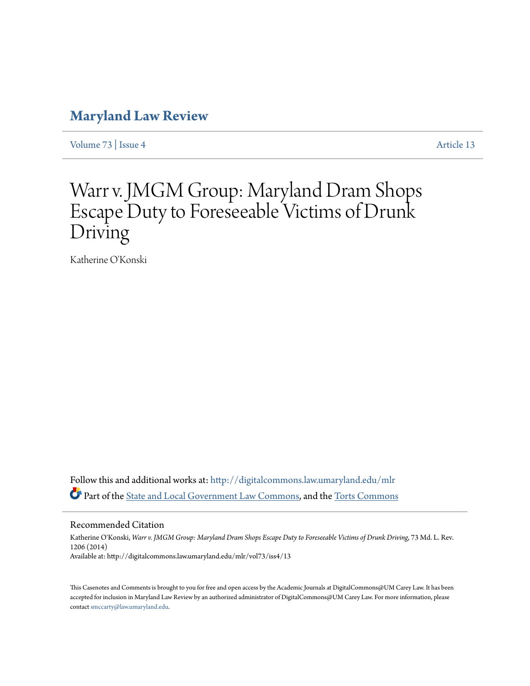# **[Maryland Law Review](http://digitalcommons.law.umaryland.edu/mlr?utm_source=digitalcommons.law.umaryland.edu%2Fmlr%2Fvol73%2Fiss4%2F13&utm_medium=PDF&utm_campaign=PDFCoverPages)**

[Volume 73](http://digitalcommons.law.umaryland.edu/mlr/vol73?utm_source=digitalcommons.law.umaryland.edu%2Fmlr%2Fvol73%2Fiss4%2F13&utm_medium=PDF&utm_campaign=PDFCoverPages) | [Issue 4](http://digitalcommons.law.umaryland.edu/mlr/vol73/iss4?utm_source=digitalcommons.law.umaryland.edu%2Fmlr%2Fvol73%2Fiss4%2F13&utm_medium=PDF&utm_campaign=PDFCoverPages) [Article 13](http://digitalcommons.law.umaryland.edu/mlr/vol73/iss4/13?utm_source=digitalcommons.law.umaryland.edu%2Fmlr%2Fvol73%2Fiss4%2F13&utm_medium=PDF&utm_campaign=PDFCoverPages)

# Warr v. JMGM Group: Maryland Dram Shops Escape Duty to Foreseeable Victims of Drunk Driving

Katherine O'Konski

Follow this and additional works at: [http://digitalcommons.law.umaryland.edu/mlr](http://digitalcommons.law.umaryland.edu/mlr?utm_source=digitalcommons.law.umaryland.edu%2Fmlr%2Fvol73%2Fiss4%2F13&utm_medium=PDF&utm_campaign=PDFCoverPages) Part of the [State and Local Government Law Commons,](http://network.bepress.com/hgg/discipline/879?utm_source=digitalcommons.law.umaryland.edu%2Fmlr%2Fvol73%2Fiss4%2F13&utm_medium=PDF&utm_campaign=PDFCoverPages) and the [Torts Commons](http://network.bepress.com/hgg/discipline/913?utm_source=digitalcommons.law.umaryland.edu%2Fmlr%2Fvol73%2Fiss4%2F13&utm_medium=PDF&utm_campaign=PDFCoverPages)

Recommended Citation

Katherine O'Konski, *Warr v. JMGM Group: Maryland Dram Shops Escape Duty to Foreseeable Victims of Drunk Driving*, 73 Md. L. Rev. 1206 (2014) Available at: http://digitalcommons.law.umaryland.edu/mlr/vol73/iss4/13

This Casenotes and Comments is brought to you for free and open access by the Academic Journals at DigitalCommons@UM Carey Law. It has been accepted for inclusion in Maryland Law Review by an authorized administrator of DigitalCommons@UM Carey Law. For more information, please contact [smccarty@law.umaryland.edu.](mailto:smccarty@law.umaryland.edu)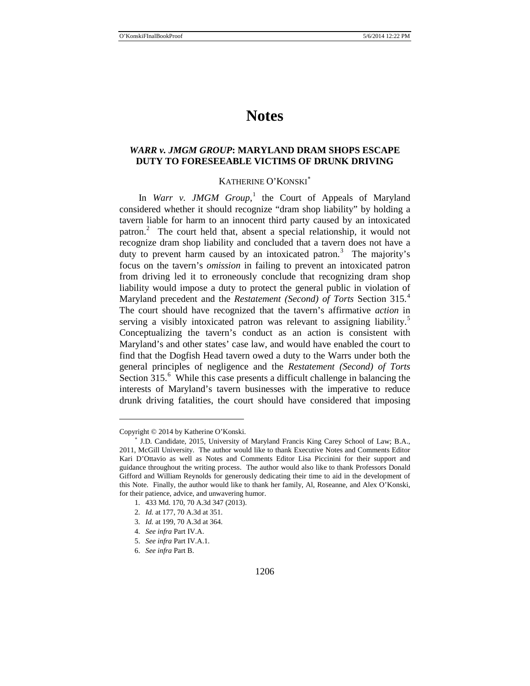# **Notes**

### *WARR v. JMGM GROUP***: MARYLAND DRAM SHOPS ESCAPE DUTY TO FORESEEABLE VICTIMS OF DRUNK DRIVING**

### KATHERINE O'KONSKI[∗](#page-1-0)

In *Warr v. JMGM Group*,<sup>[1](#page-1-1)</sup> the Court of Appeals of Maryland considered whether it should recognize "dram shop liability" by holding a tavern liable for harm to an innocent third party caused by an intoxicated patron.<sup>[2](#page-1-2)</sup> The court held that, absent a special relationship, it would not recognize dram shop liability and concluded that a tavern does not have a duty to prevent harm caused by an intoxicated patron.<sup>[3](#page-1-3)</sup> The majority's focus on the tavern's *omission* in failing to prevent an intoxicated patron from driving led it to erroneously conclude that recognizing dram shop liability would impose a duty to protect the general public in violation of Maryland precedent and the *Restatement (Second) of Torts* Section 315.[4](#page-1-4) The court should have recognized that the tavern's affirmative *action* in serving a visibly intoxicated patron was relevant to assigning liability.<sup>[5](#page-1-5)</sup> Conceptualizing the tavern's conduct as an action is consistent with Maryland's and other states' case law, and would have enabled the court to find that the Dogfish Head tavern owed a duty to the Warrs under both the general principles of negligence and the *Restatement (Second) of Torts* Section 315.<sup>[6](#page-1-6)</sup> While this case presents a difficult challenge in balancing the interests of Maryland's tavern businesses with the imperative to reduce drunk driving fatalities, the court should have considered that imposing

<span id="page-1-0"></span>Copyright © 2014 by Katherine O'Konski.

<span id="page-1-1"></span><sup>∗</sup> J.D. Candidate, 2015, University of Maryland Francis King Carey School of Law; B.A., 2011, McGill University. The author would like to thank Executive Notes and Comments Editor Kari D'Ottavio as well as Notes and Comments Editor Lisa Piccinini for their support and guidance throughout the writing process. The author would also like to thank Professors Donald Gifford and William Reynolds for generously dedicating their time to aid in the development of this Note. Finally, the author would like to thank her family, Al, Roseanne, and Alex O'Konski, for their patience, advice, and unwavering humor.

<sup>1.</sup> 433 Md. 170, 70 A.3d 347 (2013).

<sup>2.</sup> *Id.* at 177, 70 A.3d at 351.

<span id="page-1-3"></span><span id="page-1-2"></span><sup>3.</sup> *Id.* at 199, 70 A.3d at 364.

<span id="page-1-4"></span><sup>4.</sup> *See infra* Part IV.A.

<sup>5.</sup> *See infra* Part IV.A.1.

<span id="page-1-6"></span><span id="page-1-5"></span><sup>6.</sup> *See infra* Part B.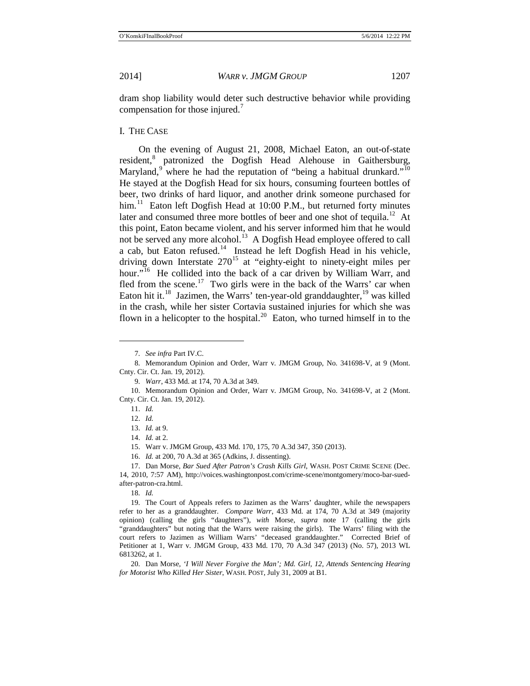dram shop liability would deter such destructive behavior while providing compensation for those injured.<sup>[7](#page-2-1)</sup>

#### I. THE CASE

On the evening of August 21, 2008, Michael Eaton, an out-of-state resident,<sup>[8](#page-2-2)</sup> patronized the Dogfish Head Alehouse in Gaithersburg, Maryland, $9^{\circ}$  $9^{\circ}$  where he had the reputation of "being a habitual drunkard."<sup>[10](#page-2-4)</sup> He stayed at the Dogfish Head for six hours, consuming fourteen bottles of beer, two drinks of hard liquor, and another drink someone purchased for him. $11$  Eaton left Dogfish Head at 10:00 P.M., but returned forty minutes later and consumed three more bottles of beer and one shot of tequila.<sup>12</sup> At this point, Eaton became violent, and his server informed him that he would not be served any more alcohol.<sup>[13](#page-2-7)</sup> A Dogfish Head employee offered to call a cab, but Eaton refused.[14](#page-2-8) Instead he left Dogfish Head in his vehicle, driving down Interstate  $270^{15}$  $270^{15}$  $270^{15}$  at "eighty-eight to ninety-eight miles per hour."<sup>[16](#page-2-10)</sup> He collided into the back of a car driven by William Warr, and fled from the scene.<sup>17</sup> Two girls were in the back of the Warrs' car when Eaton hit it.<sup>18</sup> Jazimen, the Warrs' ten-year-old granddaughter,  $19$  was killed in the crash, while her sister Cortavia sustained injuries for which she was flown in a helicopter to the hospital.<sup>[20](#page-2-14)</sup> Eaton, who turned himself in to the

<span id="page-2-0"></span><sup>7.</sup> *See infra* Part IV.C.

<span id="page-2-2"></span><span id="page-2-1"></span><sup>8.</sup> Memorandum Opinion and Order, Warr v. JMGM Group, No. 341698-V, at 9 (Mont. Cnty. Cir. Ct. Jan. 19, 2012).

<sup>9.</sup> *Warr*, 433 Md. at 174, 70 A.3d at 349.

<span id="page-2-7"></span><span id="page-2-6"></span><span id="page-2-5"></span><span id="page-2-4"></span><span id="page-2-3"></span><sup>10.</sup> Memorandum Opinion and Order, Warr v. JMGM Group, No. 341698-V, at 2 (Mont. Cnty. Cir. Ct. Jan. 19, 2012).

<sup>11.</sup> *Id.* 12. *Id.*

<sup>13.</sup> *Id.* at 9.

<sup>14.</sup> *Id.* at 2.

<sup>15.</sup> Warr v. JMGM Group, 433 Md. 170, 175, 70 A.3d 347, 350 (2013).

<sup>16.</sup> *Id.* at 200, 70 A.3d at 365 (Adkins, J. dissenting).

<span id="page-2-11"></span><span id="page-2-10"></span><span id="page-2-9"></span><span id="page-2-8"></span><sup>17.</sup> Dan Morse, *Bar Sued After Patron's Crash Kills Girl*, WASH. POST CRIME SCENE (Dec. 14, 2010, 7:57 AM), http://voices.washingtonpost.com/crime-scene/montgomery/moco-bar-suedafter-patron-cra.html.

<sup>18.</sup> *Id.*

<span id="page-2-13"></span><span id="page-2-12"></span><sup>19.</sup> The Court of Appeals refers to Jazimen as the Warrs' daughter, while the newspapers refer to her as a granddaughter. *Compare Warr*, 433 Md. at 174, 70 A.3d at 349 (majority opinion) (calling the girls "daughters"), *with* Morse, *supra* note [17](#page-2-0) (calling the girls "granddaughters" but noting that the Warrs were raising the girls). The Warrs' filing with the court refers to Jazimen as William Warrs' "deceased granddaughter." Corrected Brief of Petitioner at 1, Warr v. JMGM Group, 433 Md. 170, 70 A.3d 347 (2013) (No. 57), 2013 WL 6813262, at 1.

<span id="page-2-14"></span><sup>20.</sup> Dan Morse, *'I Will Never Forgive the Man'; Md. Girl, 12, Attends Sentencing Hearing for Motorist Who Killed Her Sister*, WASH. POST, July 31, 2009 at B1.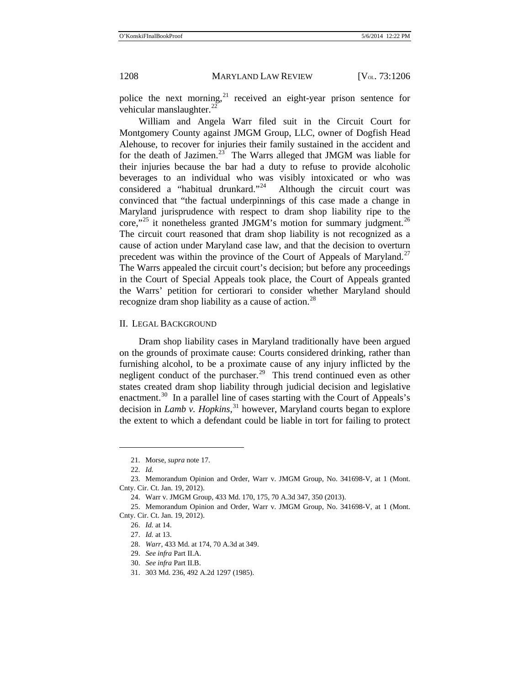police the next morning, $^{21}$  $^{21}$  $^{21}$  received an eight-year prison sentence for vehicular manslaughter. $^{22}$  $^{22}$  $^{22}$ 

William and Angela Warr filed suit in the Circuit Court for Montgomery County against JMGM Group, LLC, owner of Dogfish Head Alehouse, to recover for injuries their family sustained in the accident and for the death of Jazimen.<sup>23</sup> The Warrs alleged that JMGM was liable for their injuries because the bar had a duty to refuse to provide alcoholic beverages to an individual who was visibly intoxicated or who was considered a "habitual drunkard."<sup>24</sup> Although the circuit court was convinced that "the factual underpinnings of this case made a change in Maryland jurisprudence with respect to dram shop liability ripe to the core,"<sup>[25](#page-3-4)</sup> it nonetheless granted JMGM's motion for summary judgment.<sup>[26](#page-3-5)</sup> The circuit court reasoned that dram shop liability is not recognized as a cause of action under Maryland case law, and that the decision to overturn precedent was within the province of the Court of Appeals of Maryland.<sup>[27](#page-3-6)</sup> The Warrs appealed the circuit court's decision; but before any proceedings in the Court of Special Appeals took place, the Court of Appeals granted the Warrs' petition for certiorari to consider whether Maryland should recognize dram shop liability as a cause of action.<sup>[28](#page-3-7)</sup>

#### II. LEGAL BACKGROUND

Dram shop liability cases in Maryland traditionally have been argued on the grounds of proximate cause: Courts considered drinking, rather than furnishing alcohol, to be a proximate cause of any injury inflicted by the negligent conduct of the purchaser.<sup>[29](#page-3-8)</sup> This trend continued even as other states created dram shop liability through judicial decision and legislative enactment.<sup>[30](#page-3-9)</sup> In a parallel line of cases starting with the Court of Appeals's decision in *Lamb v. Hopkins*, [31](#page-3-10) however, Maryland courts began to explore the extent to which a defendant could be liable in tort for failing to protect

<sup>21.</sup> Morse, *supra* not[e 17.](#page-2-0)

<sup>22.</sup> *Id.*

<span id="page-3-2"></span><span id="page-3-1"></span><span id="page-3-0"></span><sup>23.</sup> Memorandum Opinion and Order, Warr v. JMGM Group, No. 341698-V, at 1 (Mont. Cnty. Cir. Ct. Jan. 19, 2012).

<sup>24.</sup> Warr v. JMGM Group, 433 Md. 170, 175, 70 A.3d 347, 350 (2013).

<span id="page-3-8"></span><span id="page-3-7"></span><span id="page-3-6"></span><span id="page-3-5"></span><span id="page-3-4"></span><span id="page-3-3"></span><sup>25.</sup> Memorandum Opinion and Order, Warr v. JMGM Group, No. 341698-V, at 1 (Mont. Cnty. Cir. Ct. Jan. 19, 2012).

<sup>26.</sup> *Id.* at 14.

<sup>27.</sup> *Id.* at 13.

<sup>28.</sup> *Warr*, 433 Md. at 174, 70 A.3d at 349.

<span id="page-3-9"></span><sup>29.</sup> *See infra* Part II.A.

<sup>30.</sup> *See infra* Part II.B.

<span id="page-3-10"></span><sup>31.</sup> 303 Md. 236, 492 A.2d 1297 (1985).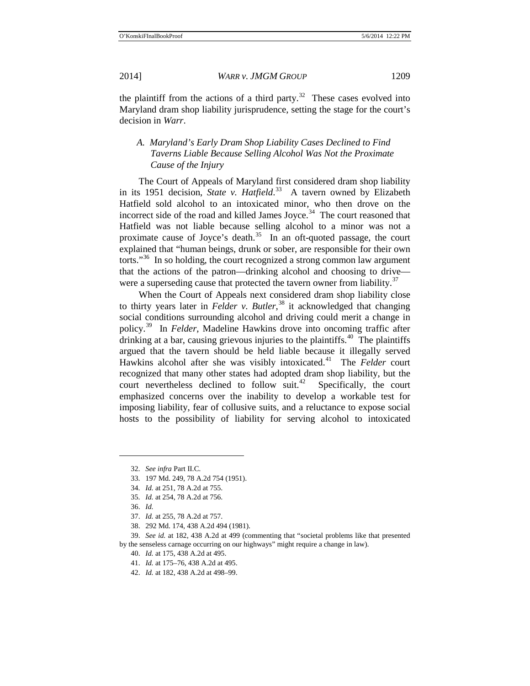the plaintiff from the actions of a third party. $32$  These cases evolved into Maryland dram shop liability jurisprudence, setting the stage for the court's decision in *Warr*.

# *A. Maryland's Early Dram Shop Liability Cases Declined to Find Taverns Liable Because Selling Alcohol Was Not the Proximate Cause of the Injury*

The Court of Appeals of Maryland first considered dram shop liability in its 1951 decision, *State v. Hatfield*. [33](#page-4-1) A tavern owned by Elizabeth Hatfield sold alcohol to an intoxicated minor, who then drove on the incorrect side of the road and killed James Joyce.<sup>34</sup> The court reasoned that Hatfield was not liable because selling alcohol to a minor was not a proximate cause of Joyce's death.<sup>[35](#page-4-3)</sup> In an oft-quoted passage, the court explained that "human beings, drunk or sober, are responsible for their own torts."<sup>36</sup> In so holding, the court recognized a strong common law argument that the actions of the patron—drinking alcohol and choosing to drive— were a superseding cause that protected the tavern owner from liability.<sup>[37](#page-4-5)</sup>

When the Court of Appeals next considered dram shop liability close to thirty years later in *Felder v. Butler*, [38](#page-4-6) it acknowledged that changing social conditions surrounding alcohol and driving could merit a change in policy.[39](#page-4-7) In *Felder*, Madeline Hawkins drove into oncoming traffic after drinking at a bar, causing grievous injuries to the plaintiffs.<sup>[40](#page-4-8)</sup> The plaintiffs argued that the tavern should be held liable because it illegally served Hawkins alcohol after she was visibly intoxicated.[41](#page-4-9) The *Felder* court recognized that many other states had adopted dram shop liability, but the court nevertheless declined to follow suit. $42$  Specifically, the court emphasized concerns over the inability to develop a workable test for imposing liability, fear of collusive suits, and a reluctance to expose social hosts to the possibility of liability for serving alcohol to intoxicated

<span id="page-4-2"></span><span id="page-4-1"></span><span id="page-4-0"></span> $\overline{a}$ 

40. *Id.* at 175, 438 A.2d at 495.

<sup>32.</sup> *See infra* Part II.C.

<sup>33.</sup> 197 Md. 249, 78 A.2d 754 (1951).

<sup>34.</sup> *Id.* at 251, 78 A.2d at 755.

<sup>35.</sup> *Id.* at 254, 78 A.2d at 756.

<sup>36.</sup> *Id.*

<sup>37.</sup> *Id.* at 255, 78 A.2d at 757.

<sup>38.</sup> 292 Md. 174, 438 A.2d 494 (1981).

<span id="page-4-10"></span><span id="page-4-9"></span><span id="page-4-8"></span><span id="page-4-7"></span><span id="page-4-6"></span><span id="page-4-5"></span><span id="page-4-4"></span><span id="page-4-3"></span><sup>39.</sup> *See id.* at 182, 438 A.2d at 499 (commenting that "societal problems like that presented by the senseless carnage occurring on our highways" might require a change in law).

<sup>41.</sup> *Id.* at 175–76, 438 A.2d at 495.

<sup>42.</sup> *Id.* at 182, 438 A.2d at 498–99.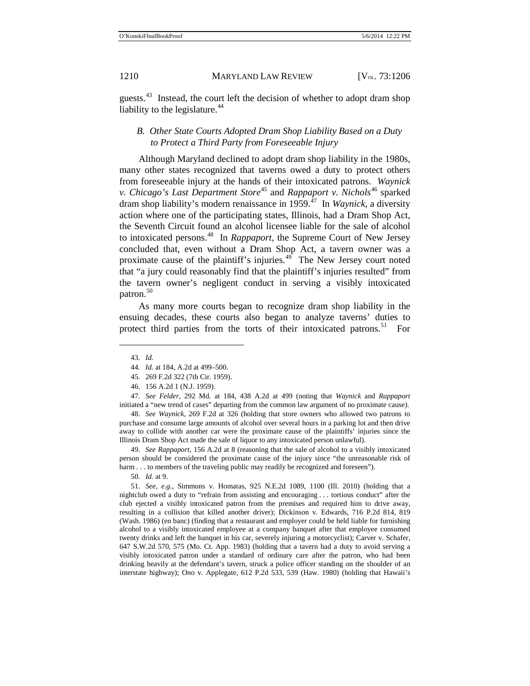guests.<sup>43</sup> Instead, the court left the decision of whether to adopt dram shop liability to the legislature. $44$ 

### *B. Other State Courts Adopted Dram Shop Liability Based on a Duty to Protect a Third Party from Foreseeable Injury*

Although Maryland declined to adopt dram shop liability in the 1980s, many other states recognized that taverns owed a duty to protect others from foreseeable injury at the hands of their intoxicated patrons. *Waynick v. Chicago's Last Department Store*<sup>[45](#page-5-2)</sup> and *Rappaport v. Nichols*<sup>[46](#page-5-3)</sup> sparked dram shop liability's modern renaissance in 1959.[47](#page-5-4) In *Waynick*, a diversity action where one of the participating states, Illinois, had a Dram Shop Act, the Seventh Circuit found an alcohol licensee liable for the sale of alcohol to intoxicated persons.[48](#page-5-5) In *Rappaport,* the Supreme Court of New Jersey concluded that, even without a Dram Shop Act, a tavern owner was a proximate cause of the plaintiff's injuries. $49$  The New Jersey court noted that "a jury could reasonably find that the plaintiff's injuries resulted" from the tavern owner's negligent conduct in serving a visibly intoxicated patron.<sup>[50](#page-5-7)</sup>

As many more courts began to recognize dram shop liability in the ensuing decades, these courts also began to analyze taverns' duties to protect third parties from the torts of their intoxicated patrons.<sup>[51](#page-5-8)</sup> For

<span id="page-5-1"></span><span id="page-5-0"></span> $\overline{a}$ 

<span id="page-5-5"></span>48. *See Waynick*, 269 F.2d at 326 (holding that store owners who allowed two patrons to purchase and consume large amounts of alcohol over several hours in a parking lot and then drive away to collide with another car were the proximate cause of the plaintiffs' injuries since the Illinois Dram Shop Act made the sale of liquor to any intoxicated person unlawful).

<span id="page-5-6"></span>49. *See Rappaport*, 156 A.2d at 8 (reasoning that the sale of alcohol to a visibly intoxicated person should be considered the proximate cause of the injury since "the unreasonable risk of harm . . . to members of the traveling public may readily be recognized and foreseen").

50. *Id.* at 9.

<span id="page-5-8"></span><span id="page-5-7"></span>51. *See, e.g.*, Simmons v. Homatas, 925 N.E.2d 1089, 1100 (Ill. 2010) (holding that a nightclub owed a duty to "refrain from assisting and encouraging . . . tortious conduct" after the club ejected a visibly intoxicated patron from the premises and required him to drive away, resulting in a collision that killed another driver); Dickinson v. Edwards, 716 P.2d 814, 819 (Wash. 1986) (en banc) (finding that a restaurant and employer could be held liable for furnishing alcohol to a visibly intoxicated employee at a company banquet after that employee consumed twenty drinks and left the banquet in his car, severely injuring a motorcyclist); Carver v. Schafer, 647 S.W.2d 570, 575 (Mo. Ct. App. 1983) (holding that a tavern had a duty to avoid serving a visibly intoxicated patron under a standard of ordinary care after the patron, who had been drinking heavily at the defendant's tavern, struck a police officer standing on the shoulder of an interstate highway); Ono v. Applegate, 612 P.2d 533, 539 (Haw. 1980) (holding that Hawaii's

<sup>43.</sup> *Id.*

<sup>44.</sup> *Id.* at 184, A.2d at 499–500.

<sup>45.</sup> 269 F.2d 322 (7th Cir. 1959).

<sup>46.</sup> 156 A.2d 1 (N.J. 1959).

<span id="page-5-4"></span><span id="page-5-3"></span><span id="page-5-2"></span><sup>47.</sup> *See Felder,* 292 Md. at 184, 438 A.2d at 499 (noting that *Waynick* and *Rappaport*  initiated a "new trend of cases" departing from the common law argument of no proximate cause).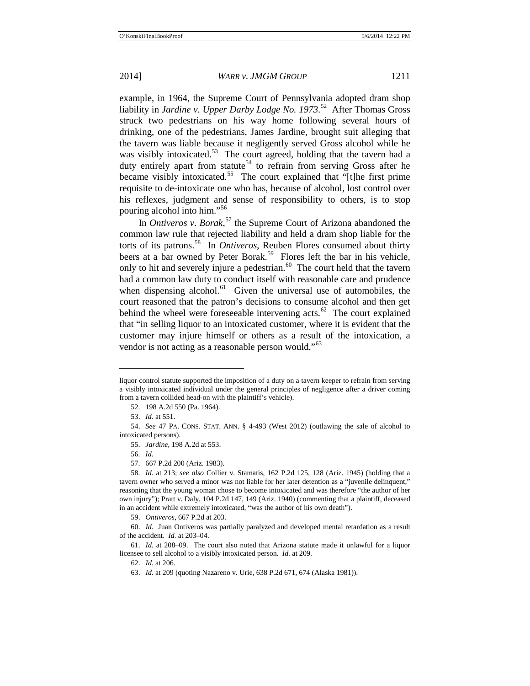example, in 1964, the Supreme Court of Pennsylvania adopted dram shop liability in *Jardine v. Upper Darby Lodge No. 1973*. [52](#page-6-0)After Thomas Gross struck two pedestrians on his way home following several hours of drinking, one of the pedestrians, James Jardine, brought suit alleging that the tavern was liable because it negligently served Gross alcohol while he was visibly intoxicated.<sup>53</sup> The court agreed, holding that the tavern had a duty entirely apart from statute<sup>[54](#page-6-2)</sup> to refrain from serving Gross after he became visibly intoxicated.<sup>55</sup> The court explained that "[t]he first prime requisite to de-intoxicate one who has, because of alcohol, lost control over his reflexes, judgment and sense of responsibility to others, is to stop pouring alcohol into him."[56](#page-6-4)

In *Ontiveros v*. *Borak*, [57](#page-6-5) the Supreme Court of Arizona abandoned the common law rule that rejected liability and held a dram shop liable for the torts of its patrons.[58](#page-6-6) In *Ontiveros*, Reuben Flores consumed about thirty beers at a bar owned by Peter Borak.<sup>[59](#page-6-7)</sup> Flores left the bar in his vehicle, only to hit and severely injure a pedestrian. $60$  The court held that the tavern had a common law duty to conduct itself with reasonable care and prudence when dispensing alcohol. $61$  Given the universal use of automobiles, the court reasoned that the patron's decisions to consume alcohol and then get behind the wheel were foreseeable intervening acts. $62$  The court explained that "in selling liquor to an intoxicated customer, where it is evident that the customer may injure himself or others as a result of the intoxication, a vendor is not acting as a reasonable person would."<sup>[63](#page-6-11)</sup>

liquor control statute supported the imposition of a duty on a tavern keeper to refrain from serving a visibly intoxicated individual under the general principles of negligence after a driver coming from a tavern collided head-on with the plaintiff's vehicle).

<sup>52.</sup> 198 A.2d 550 (Pa. 1964).

<sup>53.</sup> *Id.* at 551.

<span id="page-6-3"></span><span id="page-6-2"></span><span id="page-6-1"></span><span id="page-6-0"></span><sup>54.</sup> *See* 47 PA. CONS. STAT. ANN. § 4-493 (West 2012) (outlawing the sale of alcohol to intoxicated persons).

<sup>55.</sup> *Jardine*, 198 A.2d at 553.

<sup>56.</sup> *Id.*

<sup>57.</sup> 667 P.2d 200 (Ariz. 1983).

<span id="page-6-6"></span><span id="page-6-5"></span><span id="page-6-4"></span><sup>58.</sup> *Id.* at 213; *see also* Collier v. Stamatis, 162 P.2d 125, 128 (Ariz. 1945) (holding that a tavern owner who served a minor was not liable for her later detention as a "juvenile delinquent," reasoning that the young woman chose to become intoxicated and was therefore "the author of her own injury"); Pratt v. Daly, 104 P.2d 147, 149 (Ariz. 1940) (commenting that a plaintiff, deceased in an accident while extremely intoxicated, "was the author of his own death").

<sup>59.</sup> *Ontiveros*, 667 P.2d at 203.

<span id="page-6-8"></span><span id="page-6-7"></span><sup>60.</sup> *Id.* Juan Ontiveros was partially paralyzed and developed mental retardation as a result of the accident. *Id.* at 203–04.

<span id="page-6-11"></span><span id="page-6-10"></span><span id="page-6-9"></span><sup>61.</sup> *Id.* at 208–09. The court also noted that Arizona statute made it unlawful for a liquor licensee to sell alcohol to a visibly intoxicated person. *Id.* at 209.

<sup>62.</sup> *Id.* at 206.

<sup>63.</sup> *Id.* at 209 (quoting Nazareno v. Urie, 638 P.2d 671, 674 (Alaska 1981)).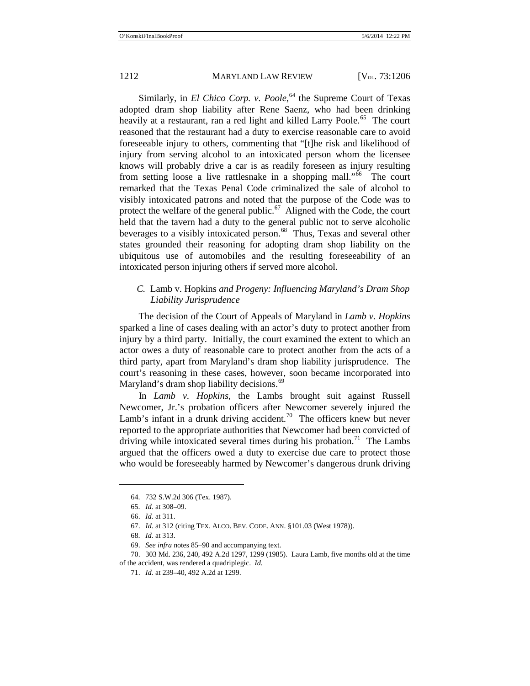Similarly, in *El Chico Corp. v. Poole*, [64](#page-7-0) the Supreme Court of Texas adopted dram shop liability after Rene Saenz, who had been drinking heavily at a restaurant, ran a red light and killed Larry Poole.<sup>[65](#page-7-1)</sup> The court reasoned that the restaurant had a duty to exercise reasonable care to avoid foreseeable injury to others, commenting that "[t]he risk and likelihood of injury from serving alcohol to an intoxicated person whom the licensee knows will probably drive a car is as readily foreseen as injury resulting from setting loose a live rattlesnake in a shopping mall."<sup>[66](#page-7-2)</sup> The court remarked that the Texas Penal Code criminalized the sale of alcohol to visibly intoxicated patrons and noted that the purpose of the Code was to protect the welfare of the general public.<sup>[67](#page-7-3)</sup> Aligned with the Code, the court held that the tavern had a duty to the general public not to serve alcoholic beverages to a visibly intoxicated person.<sup>68</sup> Thus, Texas and several other states grounded their reasoning for adopting dram shop liability on the ubiquitous use of automobiles and the resulting foreseeability of an intoxicated person injuring others if served more alcohol.

# *C.* Lamb v. Hopkins *and Progeny: Influencing Maryland's Dram Shop Liability Jurisprudence*

The decision of the Court of Appeals of Maryland in *Lamb v. Hopkins* sparked a line of cases dealing with an actor's duty to protect another from injury by a third party. Initially, the court examined the extent to which an actor owes a duty of reasonable care to protect another from the acts of a third party, apart from Maryland's dram shop liability jurisprudence. The court's reasoning in these cases, however, soon became incorporated into Maryland's dram shop liability decisions.<sup>[69](#page-7-5)</sup>

In *Lamb v. Hopkins*, the Lambs brought suit against Russell Newcomer, Jr.'s probation officers after Newcomer severely injured the Lamb's infant in a drunk driving accident.<sup>70</sup> The officers knew but never reported to the appropriate authorities that Newcomer had been convicted of driving while intoxicated several times during his probation.<sup>[71](#page-7-7)</sup> The Lambs argued that the officers owed a duty to exercise due care to protect those who would be foreseeably harmed by Newcomer's dangerous drunk driving

<span id="page-7-0"></span><sup>64.</sup> 732 S.W.2d 306 (Tex. 1987).

<sup>65.</sup> *Id.* at 308–09.

<sup>66.</sup> *Id.* at 311.

<sup>67.</sup> *Id.* at 312 (citing TEX. ALCO. BEV. CODE. ANN. §101.03 (West 1978)).

<sup>68.</sup> *Id.* at 313.

<sup>69.</sup> *See infra* notes [85–](#page-9-0)[90](#page-9-1) and accompanying text.

<span id="page-7-7"></span><span id="page-7-6"></span><span id="page-7-5"></span><span id="page-7-4"></span><span id="page-7-3"></span><span id="page-7-2"></span><span id="page-7-1"></span><sup>70.</sup> 303 Md. 236, 240, 492 A.2d 1297, 1299 (1985). Laura Lamb, five months old at the time of the accident, was rendered a quadriplegic. *Id.*

<sup>71.</sup> *Id.* at 239–40, 492 A.2d at 1299.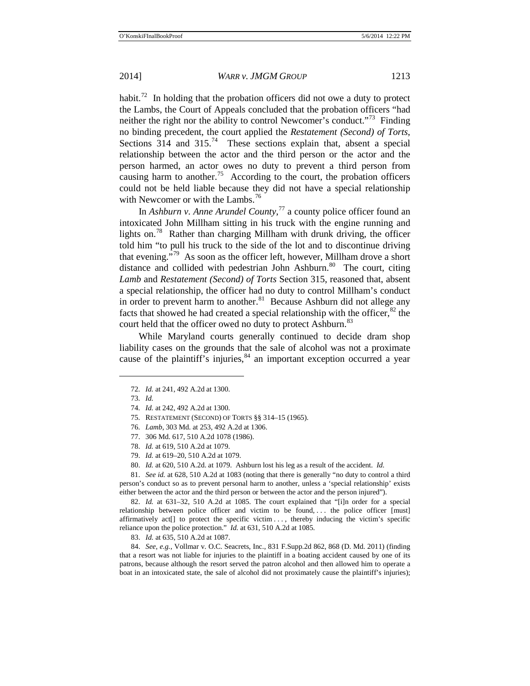habit.<sup>[72](#page-8-0)</sup> In holding that the probation officers did not owe a duty to protect the Lambs, the Court of Appeals concluded that the probation officers "had neither the right nor the ability to control Newcomer's conduct."[73](#page-8-1) Finding no binding precedent, the court applied the *Restatement (Second) of Torts*, Sections  $314$  and  $315<sup>74</sup>$  These sections explain that, absent a special relationship between the actor and the third person or the actor and the person harmed, an actor owes no duty to prevent a third person from causing harm to another.<sup>[75](#page-8-3)</sup> According to the court, the probation officers could not be held liable because they did not have a special relationship with Newcomer or with the Lambs.<sup>[76](#page-8-4)</sup>

In *Ashburn v. Anne Arundel County*, [77](#page-8-5) a county police officer found an intoxicated John Millham sitting in his truck with the engine running and lights on.<sup>78</sup> Rather than charging Millham with drunk driving, the officer told him "to pull his truck to the side of the lot and to discontinue driving that evening."[79](#page-8-7) As soon as the officer left, however, Millham drove a short distance and collided with pedestrian John Ashburn.<sup>[80](#page-8-8)</sup> The court, citing *Lamb* and *Restatement (Second) of Torts* Section 315, reasoned that, absent a special relationship, the officer had no duty to control Millham's conduct in order to prevent harm to another. $81$  Because Ashburn did not allege any facts that showed he had created a special relationship with the officer, $82$  the court held that the officer owed no duty to protect Ashburn.<sup>[83](#page-8-11)</sup>

While Maryland courts generally continued to decide dram shop liability cases on the grounds that the sale of alcohol was not a proximate cause of the plaintiff's injuries, $84$  an important exception occurred a year

<span id="page-8-3"></span><span id="page-8-2"></span><span id="page-8-1"></span><span id="page-8-0"></span> $\overline{a}$ 

<span id="page-8-9"></span><span id="page-8-8"></span><span id="page-8-7"></span><span id="page-8-6"></span><span id="page-8-5"></span><span id="page-8-4"></span>81. *See id.* at 628, 510 A.2d at 1083 (noting that there is generally "no duty to control a third person's conduct so as to prevent personal harm to another, unless a 'special relationship' exists either between the actor and the third person or between the actor and the person injured").

<span id="page-8-10"></span>82. *Id.* at 631–32, 510 A.2d at 1085. The court explained that "[i]n order for a special relationship between police officer and victim to be found, ... the police officer [must] affirmatively act[] to protect the specific victim . . . , thereby inducing the victim's specific reliance upon the police protection." *Id.* at 631, 510 A.2d at 1085.

83. *Id.* at 635, 510 A.2d at 1087.

<span id="page-8-12"></span><span id="page-8-11"></span>84. *See, e.g.*, Vollmar v. O.C. Seacrets, Inc., 831 F.Supp.2d 862, 868 (D. Md. 2011) (finding that a resort was not liable for injuries to the plaintiff in a boating accident caused by one of its patrons, because although the resort served the patron alcohol and then allowed him to operate a boat in an intoxicated state, the sale of alcohol did not proximately cause the plaintiff's injuries);

<span id="page-8-13"></span><sup>72.</sup> *Id.* at 241, 492 A.2d at 1300.

<sup>73.</sup> *Id.*

<sup>74.</sup> *Id.* at 242, 492 A.2d at 1300.

<sup>75.</sup> RESTATEMENT (SECOND) OF TORTS §§ 314–15 (1965).

<sup>76.</sup> *Lamb*, 303 Md. at 253, 492 A.2d at 1306.

<sup>77.</sup> 306 Md. 617, 510 A.2d 1078 (1986).

<sup>78.</sup> *Id.* at 619, 510 A.2d at 1079.

<sup>79.</sup> *Id.* at 619–20, 510 A.2d at 1079.

<sup>80.</sup> *Id.* at 620, 510 A.2d. at 1079. Ashburn lost his leg as a result of the accident. *Id.*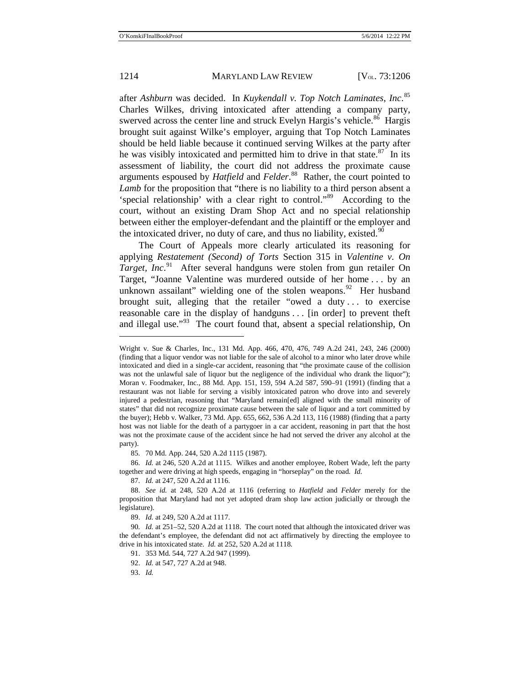$\overline{a}$ 

#### 1214 MARYLAND LAW REVIEW [V<sub>OL.</sub> 73:1206]

<span id="page-9-1"></span><span id="page-9-0"></span>

after *Ashburn* was decided. In *Kuykendall v. Top Notch Laminates*, *Inc*. [85](#page-9-2) Charles Wilkes, driving intoxicated after attending a company party, swerved across the center line and struck Evelyn Hargis's vehicle.<sup>86</sup> Hargis brought suit against Wilke's employer, arguing that Top Notch Laminates should be held liable because it continued serving Wilkes at the party after he was visibly intoxicated and permitted him to drive in that state. $87$  In its assessment of liability, the court did not address the proximate cause arguments espoused by *Hatfield* and *Felder*. [88](#page-9-5) Rather, the court pointed to *Lamb* for the proposition that "there is no liability to a third person absent a 'special relationship' with a clear right to control."[89](#page-9-6) According to the court, without an existing Dram Shop Act and no special relationship between either the employer-defendant and the plaintiff or the employer and the intoxicated driver, no duty of care, and thus no liability, existed.<sup>[90](#page-9-7)</sup>

The Court of Appeals more clearly articulated its reasoning for applying *Restatement (Second) of Torts* Section 315 in *Valentine v. On*  Target, Inc.<sup>[91](#page-9-8)</sup> After several handguns were stolen from gun retailer On Target, "Joanne Valentine was murdered outside of her home . . . by an unknown assailant" wielding one of the stolen weapons. $92$  Her husband brought suit, alleging that the retailer "owed a duty . . . to exercise reasonable care in the display of handguns . . . [in order] to prevent theft and illegal use."<sup>93</sup> The court found that, absent a special relationship, On

85. 70 Md. App. 244, 520 A.2d 1115 (1987).

<span id="page-9-3"></span><span id="page-9-2"></span>86. *Id.* at 246, 520 A.2d at 1115. Wilkes and another employee, Robert Wade, left the party together and were driving at high speeds, engaging in "horseplay" on the road. *Id.*

87. *Id.* at 247, 520 A.2d at 1116.

89. *Id.* at 249, 520 A.2d at 1117.

91. 353 Md. 544, 727 A.2d 947 (1999).

92. *Id.* at 547, 727 A.2d at 948.

93. *Id.*

Wright v. Sue & Charles, Inc., 131 Md. App. 466, 470, 476, 749 A.2d 241, 243, 246 (2000) (finding that a liquor vendor was not liable for the sale of alcohol to a minor who later drove while intoxicated and died in a single-car accident, reasoning that "the proximate cause of the collision was not the unlawful sale of liquor but the negligence of the individual who drank the liquor"); Moran v. Foodmaker, Inc., 88 Md. App. 151, 159, 594 A.2d 587, 590–91 (1991) (finding that a restaurant was not liable for serving a visibly intoxicated patron who drove into and severely injured a pedestrian, reasoning that "Maryland remain[ed] aligned with the small minority of states" that did not recognize proximate cause between the sale of liquor and a tort committed by the buyer); Hebb v. Walker, 73 Md. App. 655, 662, 536 A.2d 113, 116 (1988) (finding that a party host was not liable for the death of a partygoer in a car accident, reasoning in part that the host was not the proximate cause of the accident since he had not served the driver any alcohol at the party).

<span id="page-9-5"></span><span id="page-9-4"></span><sup>88.</sup> *See id.* at 248, 520 A.2d at 1116 (referring to *Hatfield* and *Felder* merely for the proposition that Maryland had not yet adopted dram shop law action judicially or through the legislature).

<span id="page-9-10"></span><span id="page-9-9"></span><span id="page-9-8"></span><span id="page-9-7"></span><span id="page-9-6"></span><sup>90</sup>*. Id.* at 251–52, 520 A.2d at 1118. The court noted that although the intoxicated driver was the defendant's employee, the defendant did not act affirmatively by directing the employee to drive in his intoxicated state. *Id.* at 252, 520 A.2d at 1118.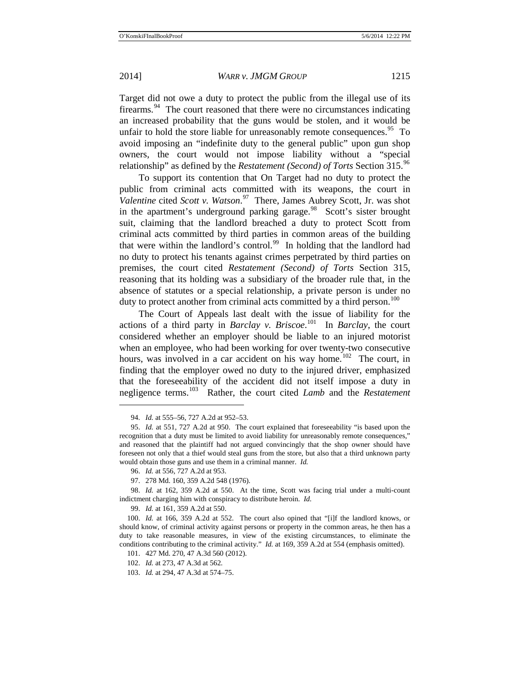Target did not owe a duty to protect the public from the illegal use of its firearms. $94$  The court reasoned that there were no circumstances indicating an increased probability that the guns would be stolen, and it would be unfair to hold the store liable for unreasonably remote consequences.  $95$  To avoid imposing an "indefinite duty to the general public" upon gun shop owners, the court would not impose liability without a "special relationship" as defined by the *Restatement (Second) of Torts* Section 315.[96](#page-10-2)

To support its contention that On Target had no duty to protect the public from criminal acts committed with its weapons, the court in *Valentine* cited *Scott v. Watson*. [97](#page-10-3) There, James Aubrey Scott, Jr. was shot in the apartment's underground parking garage. $98$  Scott's sister brought suit, claiming that the landlord breached a duty to protect Scott from criminal acts committed by third parties in common areas of the building that were within the landlord's control.<sup>[99](#page-10-5)</sup> In holding that the landlord had no duty to protect his tenants against crimes perpetrated by third parties on premises, the court cited *Restatement (Second) of Torts* Section 315, reasoning that its holding was a subsidiary of the broader rule that, in the absence of statutes or a special relationship, a private person is under no duty to protect another from criminal acts committed by a third person.<sup>[100](#page-10-6)</sup>

The Court of Appeals last dealt with the issue of liability for the actions of a third party in *Barclay v. Briscoe*. [101](#page-10-7) In *Barclay*, the court considered whether an employer should be liable to an injured motorist when an employee, who had been working for over twenty-two consecutive hours, was involved in a car accident on his way home.<sup>[102](#page-10-8)</sup> The court, in finding that the employer owed no duty to the injured driver, emphasized that the foreseeability of the accident did not itself impose a duty in negligence terms.[103](#page-10-9) Rather, the court cited *Lamb* and the *Restatement* 

<sup>94.</sup> *Id.* at 555–56, 727 A.2d at 952–53.

<span id="page-10-1"></span><span id="page-10-0"></span><sup>95.</sup> *Id.* at 551, 727 A.2d at 950. The court explained that foreseeability "is based upon the recognition that a duty must be limited to avoid liability for unreasonably remote consequences," and reasoned that the plaintiff had not argued convincingly that the shop owner should have foreseen not only that a thief would steal guns from the store, but also that a third unknown party would obtain those guns and use them in a criminal manner. *Id.*

<sup>96.</sup> *Id.* at 556, 727 A.2d at 953.

<sup>97.</sup> 278 Md. 160, 359 A.2d 548 (1976).

<span id="page-10-4"></span><span id="page-10-3"></span><span id="page-10-2"></span><sup>98.</sup> *Id.* at 162, 359 A.2d at 550. At the time, Scott was facing trial under a multi-count indictment charging him with conspiracy to distribute heroin. *Id.*

<sup>99.</sup> *Id.* at 161, 359 A.2d at 550.

<span id="page-10-8"></span><span id="page-10-7"></span><span id="page-10-6"></span><span id="page-10-5"></span><sup>100.</sup> *Id.* at 166, 359 A.2d at 552. The court also opined that "[i]f the landlord knows, or should know, of criminal activity against persons or property in the common areas, he then has a duty to take reasonable measures, in view of the existing circumstances, to eliminate the conditions contributing to the criminal activity." *Id.* at 169, 359 A.2d at 554 (emphasis omitted).

<sup>101.</sup> 427 Md. 270, 47 A.3d 560 (2012).

<sup>102.</sup> *Id.* at 273, 47 A.3d at 562.

<span id="page-10-9"></span><sup>103.</sup> *Id.* at 294, 47 A.3d at 574–75.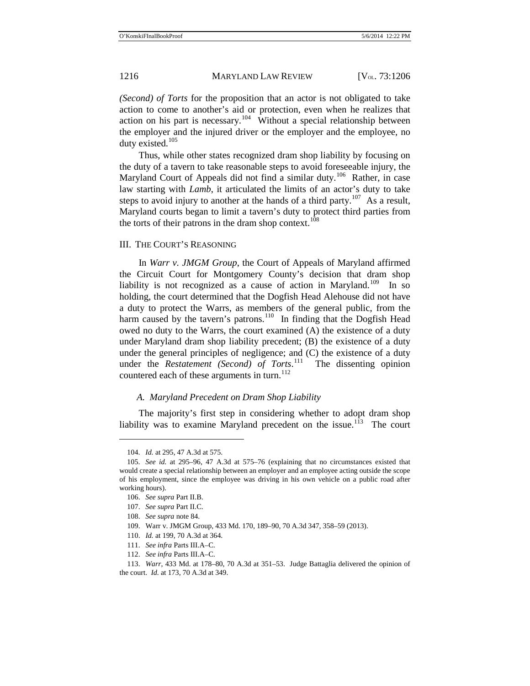*(Second) of Torts* for the proposition that an actor is not obligated to take action to come to another's aid or protection, even when he realizes that action on his part is necessary.<sup>104</sup> Without a special relationship between the employer and the injured driver or the employer and the employee, no duty existed.<sup>[105](#page-11-1)</sup>

Thus, while other states recognized dram shop liability by focusing on the duty of a tavern to take reasonable steps to avoid foreseeable injury, the Maryland Court of Appeals did not find a similar duty.<sup>[106](#page-11-2)</sup> Rather, in case law starting with *Lamb*, it articulated the limits of an actor's duty to take steps to avoid injury to another at the hands of a third party.<sup>[107](#page-11-3)</sup> As a result, Maryland courts began to limit a tavern's duty to protect third parties from the torts of their patrons in the dram shop context. $108$ 

#### III. THE COURT'S REASONING

In *Warr v. JMGM Group*, the Court of Appeals of Maryland affirmed the Circuit Court for Montgomery County's decision that dram shop liability is not recognized as a cause of action in Maryland.<sup>[109](#page-11-5)</sup> In so holding, the court determined that the Dogfish Head Alehouse did not have a duty to protect the Warrs, as members of the general public, from the harm caused by the tavern's patrons.<sup>110</sup> In finding that the Dogfish Head owed no duty to the Warrs, the court examined (A) the existence of a duty under Maryland dram shop liability precedent; (B) the existence of a duty under the general principles of negligence; and (C) the existence of a duty under the *Restatement (Second) of Torts*. [111](#page-11-7) The dissenting opinion countered each of these arguments in turn.<sup>[112](#page-11-8)</sup>

#### *A. Maryland Precedent on Dram Shop Liability*

The majority's first step in considering whether to adopt dram shop liability was to examine Maryland precedent on the issue.<sup>113</sup> The court

<sup>104.</sup> *Id.* at 295, 47 A.3d at 575.

<span id="page-11-3"></span><span id="page-11-2"></span><span id="page-11-1"></span><span id="page-11-0"></span><sup>105.</sup> *See id.* at 295–96, 47 A.3d at 575–76 (explaining that no circumstances existed that would create a special relationship between an employer and an employee acting outside the scope of his employment, since the employee was driving in his own vehicle on a public road after working hours).

<sup>106.</sup> *See supra* Part II.B.

<sup>107.</sup> *See supra* Part II.C.

<sup>108.</sup> *See supra* not[e 84.](#page-8-13)

<span id="page-11-4"></span><sup>109.</sup> Warr v. JMGM Group, 433 Md. 170, 189–90, 70 A.3d 347, 358–59 (2013).

<sup>110.</sup> *Id.* at 199, 70 A.3d at 364.

<sup>111.</sup> *See infra* Parts III.A–C.

<sup>112.</sup> *See infra* Parts III.A–C.

<span id="page-11-9"></span><span id="page-11-8"></span><span id="page-11-7"></span><span id="page-11-6"></span><span id="page-11-5"></span><sup>113.</sup> *Warr*, 433 Md. at 178–80, 70 A.3d at 351–53. Judge Battaglia delivered the opinion of the court. *Id.* at 173, 70 A.3d at 349.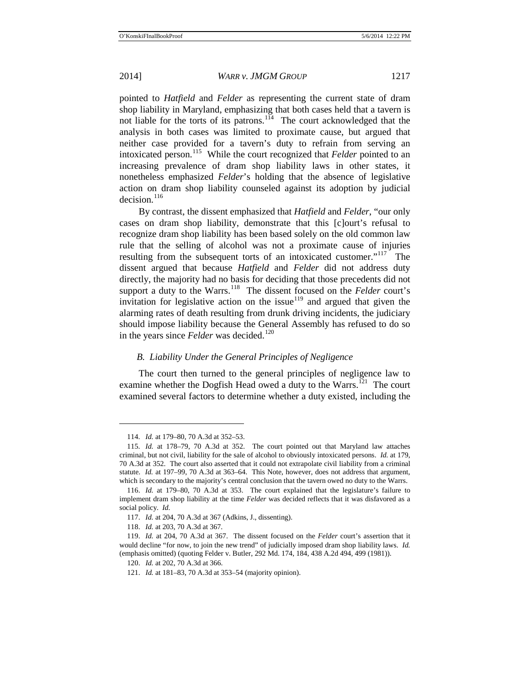pointed to *Hatfield* and *Felder* as representing the current state of dram shop liability in Maryland, emphasizing that both cases held that a tavern is not liable for the torts of its patrons.<sup>[114](#page-12-0)</sup> The court acknowledged that the analysis in both cases was limited to proximate cause, but argued that neither case provided for a tavern's duty to refrain from serving an intoxicated person.<sup>[115](#page-12-1)</sup> While the court recognized that *Felder* pointed to an increasing prevalence of dram shop liability laws in other states, it nonetheless emphasized *Felder*'s holding that the absence of legislative action on dram shop liability counseled against its adoption by judicial decision. $116$ 

By contrast, the dissent emphasized that *Hatfield* and *Felder*, "our only cases on dram shop liability, demonstrate that this [c]ourt's refusal to recognize dram shop liability has been based solely on the old common law rule that the selling of alcohol was not a proximate cause of injuries resulting from the subsequent torts of an intoxicated customer."<sup>117</sup> The dissent argued that because *Hatfield* and *Felder* did not address duty directly, the majority had no basis for deciding that those precedents did not support a duty to the Warrs.<sup>[118](#page-12-4)</sup> The dissent focused on the *Felder* court's invitation for legislative action on the issue<sup>[119](#page-12-5)</sup> and argued that given the alarming rates of death resulting from drunk driving incidents, the judiciary should impose liability because the General Assembly has refused to do so in the years since *Felder* was decided.<sup>[120](#page-12-6)</sup>

#### *B. Liability Under the General Principles of Negligence*

The court then turned to the general principles of negligence law to examine whether the Dogfish Head owed a duty to the Warrs.<sup>121</sup> The court examined several factors to determine whether a duty existed, including the

<sup>114.</sup> *Id.* at 179–80, 70 A.3d at 352–53.

<span id="page-12-1"></span><span id="page-12-0"></span><sup>115.</sup> *Id.* at 178–79, 70 A.3d at 352. The court pointed out that Maryland law attaches criminal, but not civil, liability for the sale of alcohol to obviously intoxicated persons. *Id.* at 179, 70 A.3d at 352. The court also asserted that it could not extrapolate civil liability from a criminal statute. *Id.* at 197–99, 70 A.3d at 363–64. This Note, however, does not address that argument, which is secondary to the majority's central conclusion that the tavern owed no duty to the Warrs.

<span id="page-12-2"></span><sup>116.</sup> *Id.* at 179–80, 70 A.3d at 353. The court explained that the legislature's failure to implement dram shop liability at the time *Felder* was decided reflects that it was disfavored as a social policy. *Id.*

<sup>117.</sup> *Id.* at 204, 70 A.3d at 367 (Adkins, J., dissenting).

<sup>118.</sup> *Id.* at 203, 70 A.3d at 367.

<span id="page-12-7"></span><span id="page-12-6"></span><span id="page-12-5"></span><span id="page-12-4"></span><span id="page-12-3"></span><sup>119.</sup> *Id.* at 204, 70 A.3d at 367. The dissent focused on the *Felder* court's assertion that it would decline "for now, to join the new trend" of judicially imposed dram shop liability laws. *Id.*  (emphasis omitted) (quoting Felder v. Butler, 292 Md. 174, 184, 438 A.2d 494, 499 (1981)).

<sup>120.</sup> *Id.* at 202, 70 A.3d at 366.

<sup>121.</sup> *Id.* at 181–83, 70 A.3d at 353–54 (majority opinion).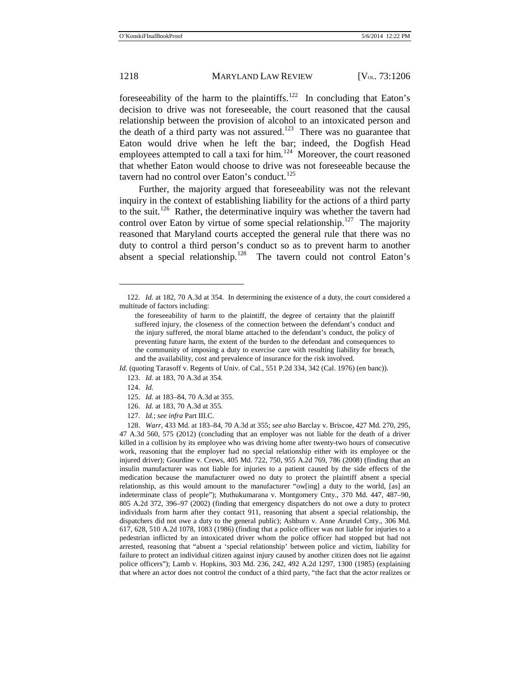<span id="page-13-7"></span>foreseeability of the harm to the plaintiffs.<sup>[122](#page-13-0)</sup> In concluding that Eaton's decision to drive was not foreseeable, the court reasoned that the causal relationship between the provision of alcohol to an intoxicated person and the death of a third party was not assured.<sup>[123](#page-13-1)</sup> There was no guarantee that Eaton would drive when he left the bar; indeed, the Dogfish Head employees attempted to call a taxi for him. $124$  Moreover, the court reasoned that whether Eaton would choose to drive was not foreseeable because the tavern had no control over Eaton's conduct.<sup>[125](#page-13-3)</sup>

Further, the majority argued that foreseeability was not the relevant inquiry in the context of establishing liability for the actions of a third party to the suit.[126](#page-13-4) Rather, the determinative inquiry was whether the tavern had control over Eaton by virtue of some special relationship.<sup>127</sup> The majority reasoned that Maryland courts accepted the general rule that there was no duty to control a third person's conduct so as to prevent harm to another absent a special relationship.[128](#page-13-6) The tavern could not control Eaton's

- 125. *Id.* at 183–84, 70 A.3d at 355.
- 126. *Id.* at 183, 70 A.3d at 355.
- 127. *Id.*; *see infra* Part III.C.

<span id="page-13-0"></span><sup>122.</sup> *Id.* at 182, 70 A.3d at 354. In determining the existence of a duty, the court considered a multitude of factors including:

the foreseeability of harm to the plaintiff, the degree of certainty that the plaintiff suffered injury, the closeness of the connection between the defendant's conduct and the injury suffered, the moral blame attached to the defendant's conduct, the policy of preventing future harm, the extent of the burden to the defendant and consequences to the community of imposing a duty to exercise care with resulting liability for breach, and the availability, cost and prevalence of insurance for the risk involved.

<span id="page-13-3"></span><span id="page-13-2"></span><span id="page-13-1"></span>*Id.* (quoting Tarasoff v. Regents of Univ. of Cal., 551 P.2d 334, 342 (Cal. 1976) (en banc)). 123. *Id.* at 183, 70 A.3d at 354.

<sup>124.</sup> *Id.*

<span id="page-13-6"></span><span id="page-13-5"></span><span id="page-13-4"></span><sup>128.</sup> *Warr*, 433 Md. at 183–84, 70 A.3d at 355; *see also* Barclay v. Briscoe, 427 Md. 270, 295, 47 A.3d 560, 575 (2012) (concluding that an employer was not liable for the death of a driver killed in a collision by its employee who was driving home after twenty-two hours of consecutive work, reasoning that the employer had no special relationship either with its employee or the injured driver); Gourdine v. Crews, 405 Md. 722, 750, 955 A.2d 769, 786 (2008) (finding that an insulin manufacturer was not liable for injuries to a patient caused by the side effects of the medication because the manufacturer owed no duty to protect the plaintiff absent a special relationship, as this would amount to the manufacturer "ow[ing] a duty to the world, [as] an indeterminate class of people"); Muthukumarana v. Montgomery Cnty., 370 Md. 447, 487–90, 805 A.2d 372, 396–97 (2002) (finding that emergency dispatchers do not owe a duty to protect individuals from harm after they contact 911, reasoning that absent a special relationship, the dispatchers did not owe a duty to the general public); Ashburn v. Anne Arundel Cnty., 306 Md. 617, 628, 510 A.2d 1078, 1083 (1986) (finding that a police officer was not liable for injuries to a pedestrian inflicted by an intoxicated driver whom the police officer had stopped but had not arrested, reasoning that "absent a 'special relationship' between police and victim, liability for failure to protect an individual citizen against injury caused by another citizen does not lie against police officers"); Lamb v. Hopkins, 303 Md. 236, 242, 492 A.2d 1297, 1300 (1985) (explaining that where an actor does not control the conduct of a third party, "the fact that the actor realizes or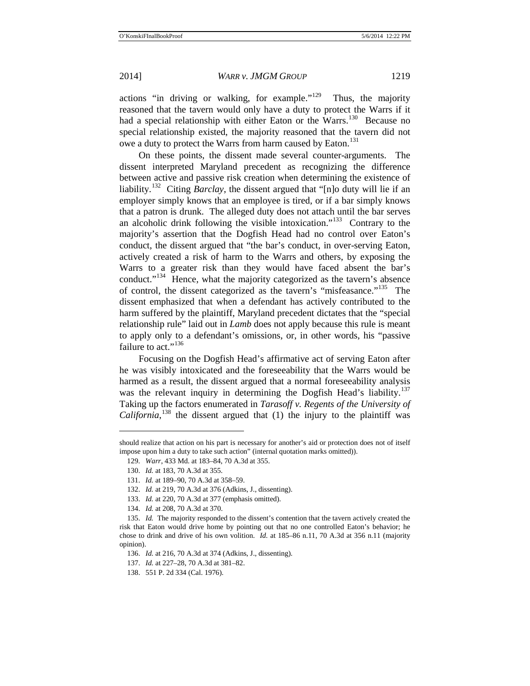actions "in driving or walking, for example."[129](#page-14-0) Thus, the majority reasoned that the tavern would only have a duty to protect the Warrs if it had a special relationship with either Eaton or the Warrs.<sup>[130](#page-14-1)</sup> Because no special relationship existed, the majority reasoned that the tavern did not owe a duty to protect the Warrs from harm caused by Eaton.<sup>[131](#page-14-2)</sup>

On these points, the dissent made several counter-arguments. The dissent interpreted Maryland precedent as recognizing the difference between active and passive risk creation when determining the existence of liability.[132](#page-14-3) Citing *Barclay*, the dissent argued that "[n]o duty will lie if an employer simply knows that an employee is tired, or if a bar simply knows that a patron is drunk. The alleged duty does not attach until the bar serves an alcoholic drink following the visible intoxication."<sup>[133](#page-14-4)</sup> Contrary to the majority's assertion that the Dogfish Head had no control over Eaton's conduct, the dissent argued that "the bar's conduct, in over-serving Eaton, actively created a risk of harm to the Warrs and others, by exposing the Warrs to a greater risk than they would have faced absent the bar's conduct."<sup>[134](#page-14-5)</sup> Hence, what the majority categorized as the tavern's absence of control, the dissent categorized as the tavern's "misfeasance."[135](#page-14-6) The dissent emphasized that when a defendant has actively contributed to the harm suffered by the plaintiff, Maryland precedent dictates that the "special relationship rule" laid out in *Lamb* does not apply because this rule is meant to apply only to a defendant's omissions, or, in other words, his "passive failure to act."<sup>[136](#page-14-7)</sup>

Focusing on the Dogfish Head's affirmative act of serving Eaton after he was visibly intoxicated and the foreseeability that the Warrs would be harmed as a result, the dissent argued that a normal foreseeability analysis was the relevant inquiry in determining the Dogfish Head's liability.<sup>[137](#page-14-8)</sup> Taking up the factors enumerated in *Tarasoff v. Regents of the University of California*,<sup>[138](#page-14-9)</sup> the dissent argued that  $(1)$  the injury to the plaintiff was

<span id="page-14-2"></span><span id="page-14-1"></span><span id="page-14-0"></span>should realize that action on his part is necessary for another's aid or protection does not of itself impose upon him a duty to take such action" (internal quotation marks omitted)).

<sup>129.</sup> *Warr*, 433 Md. at 183–84, 70 A.3d at 355.

<sup>130.</sup> *Id.* at 183, 70 A.3d at 355.

<sup>131.</sup> *Id.* at 189–90, 70 A.3d at 358–59.

<sup>132.</sup> *Id.* at 219, 70 A.3d at 376 (Adkins, J., dissenting).

<sup>133.</sup> *Id.* at 220, 70 A.3d at 377 (emphasis omitted).

<sup>134.</sup> *Id.* at 208, 70 A.3d at 370.

<span id="page-14-8"></span><span id="page-14-7"></span><span id="page-14-6"></span><span id="page-14-5"></span><span id="page-14-4"></span><span id="page-14-3"></span><sup>135.</sup> *Id.* The majority responded to the dissent's contention that the tavern actively created the risk that Eaton would drive home by pointing out that no one controlled Eaton's behavior; he chose to drink and drive of his own volition. *Id.* at 185–86 n.11, 70 A.3d at 356 n.11 (majority opinion).

<sup>136.</sup> *Id.* at 216, 70 A.3d at 374 (Adkins, J., dissenting).

<sup>137.</sup> *Id.* at 227–28, 70 A.3d at 381–82.

<span id="page-14-9"></span><sup>138.</sup> 551 P. 2d 334 (Cal. 1976).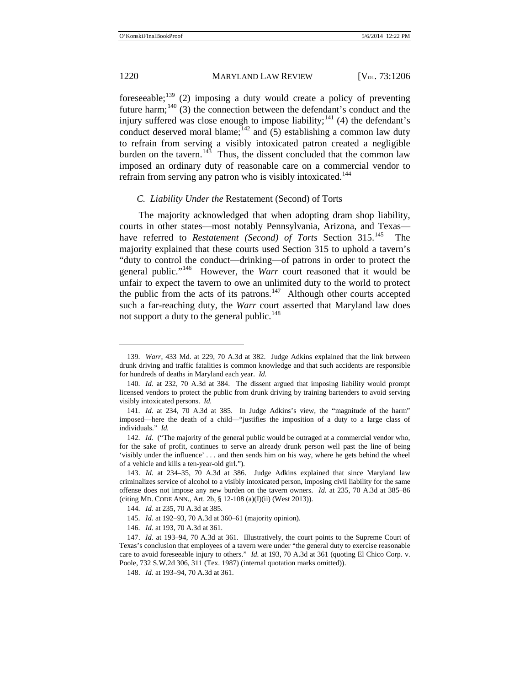foreseeable;[139](#page-15-0) (2) imposing a duty would create a policy of preventing future harm;<sup>[140](#page-15-1)</sup> (3) the connection between the defendant's conduct and the injury suffered was close enough to impose liability;<sup>[141](#page-15-2)</sup> (4) the defendant's conduct deserved moral blame; $^{142}$  $^{142}$  $^{142}$  and (5) establishing a common law duty to refrain from serving a visibly intoxicated patron created a negligible burden on the tavern.<sup>143</sup> Thus, the dissent concluded that the common law imposed an ordinary duty of reasonable care on a commercial vendor to refrain from serving any patron who is visibly intoxicated.<sup>[144](#page-15-5)</sup>

#### *C. Liability Under the* Restatement (Second) of Torts

The majority acknowledged that when adopting dram shop liability, courts in other states—most notably Pennsylvania, Arizona, and Texas have referred to *Restatement (Second) of Torts* Section 315.<sup>[145](#page-15-6)</sup> The majority explained that these courts used Section 315 to uphold a tavern's "duty to control the conduct—drinking—of patrons in order to protect the general public."[146](#page-15-7) However, the *Warr* court reasoned that it would be unfair to expect the tavern to owe an unlimited duty to the world to protect the public from the acts of its patrons.<sup>[147](#page-15-8)</sup> Although other courts accepted such a far-reaching duty, the *Warr* court asserted that Maryland law does not support a duty to the general public.<sup>[148](#page-15-9)</sup>

 $\overline{a}$ 

146. *Id.* at 193, 70 A.3d at 361.

<span id="page-15-0"></span><sup>139.</sup> *Warr*, 433 Md. at 229, 70 A.3d at 382. Judge Adkins explained that the link between drunk driving and traffic fatalities is common knowledge and that such accidents are responsible for hundreds of deaths in Maryland each year. *Id.*

<span id="page-15-1"></span><sup>140.</sup> *Id.* at 232, 70 A.3d at 384. The dissent argued that imposing liability would prompt licensed vendors to protect the public from drunk driving by training bartenders to avoid serving visibly intoxicated persons. *Id.*

<span id="page-15-2"></span><sup>141.</sup> *Id.* at 234, 70 A.3d at 385. In Judge Adkins's view, the "magnitude of the harm" imposed—here the death of a child—"justifies the imposition of a duty to a large class of individuals." *Id.* 

<span id="page-15-3"></span><sup>142.</sup> *Id.* ("The majority of the general public would be outraged at a commercial vendor who, for the sake of profit, continues to serve an already drunk person well past the line of being 'visibly under the influence' . . . and then sends him on his way, where he gets behind the wheel of a vehicle and kills a ten-year-old girl.")*.*

<span id="page-15-4"></span><sup>143.</sup> *Id.* at 234–35, 70 A.3d at 386. Judge Adkins explained that since Maryland law criminalizes service of alcohol to a visibly intoxicated person, imposing civil liability for the same offense does not impose any new burden on the tavern owners. *Id.* at 235, 70 A.3d at 385–86 (citing MD. CODE ANN., Art. 2b, § 12-108 (a)(I)(ii) (West 2013)).

<sup>144.</sup> *Id.* at 235, 70 A.3d at 385.

<sup>145.</sup> *Id.* at 192–93, 70 A.3d at 360–61 (majority opinion).

<span id="page-15-9"></span><span id="page-15-8"></span><span id="page-15-7"></span><span id="page-15-6"></span><span id="page-15-5"></span><sup>147.</sup> *Id.* at 193–94, 70 A.3d at 361. Illustratively, the court points to the Supreme Court of Texas's conclusion that employees of a tavern were under "the general duty to exercise reasonable care to avoid foreseeable injury to others." *Id.* at 193, 70 A.3d at 361 (quoting El Chico Corp. v. Poole, 732 S.W.2d 306, 311 (Tex. 1987) (internal quotation marks omitted)).

<sup>148.</sup> *Id.* at 193–94, 70 A.3d at 361.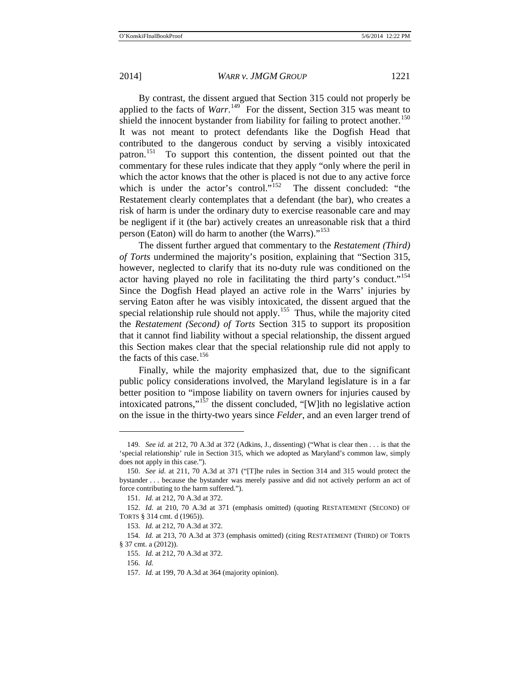By contrast, the dissent argued that Section 315 could not properly be applied to the facts of *Warr*.<sup>[149](#page-16-0)</sup> For the dissent, Section 315 was meant to shield the innocent bystander from liability for failing to protect another.<sup>[150](#page-16-1)</sup> It was not meant to protect defendants like the Dogfish Head that contributed to the dangerous conduct by serving a visibly intoxicated patron.[151](#page-16-2) To support this contention, the dissent pointed out that the commentary for these rules indicate that they apply "only where the peril in which the actor knows that the other is placed is not due to any active force which is under the actor's control."<sup>[152](#page-16-3)</sup> The dissent concluded: "the Restatement clearly contemplates that a defendant (the bar), who creates a risk of harm is under the ordinary duty to exercise reasonable care and may be negligent if it (the bar) actively creates an unreasonable risk that a third person (Eaton) will do harm to another (the Warrs)."<sup>[153](#page-16-4)</sup>

The dissent further argued that commentary to the *Restatement (Third) of Torts* undermined the majority's position, explaining that "Section 315, however, neglected to clarify that its no-duty rule was conditioned on the actor having played no role in facilitating the third party's conduct."<sup>[154](#page-16-5)</sup> Since the Dogfish Head played an active role in the Warrs' injuries by serving Eaton after he was visibly intoxicated, the dissent argued that the special relationship rule should not apply.<sup>[155](#page-16-6)</sup> Thus, while the majority cited the *Restatement (Second) of Torts* Section 315 to support its proposition that it cannot find liability without a special relationship, the dissent argued this Section makes clear that the special relationship rule did not apply to the facts of this case.<sup>[156](#page-16-7)</sup>

Finally, while the majority emphasized that, due to the significant public policy considerations involved, the Maryland legislature is in a far better position to "impose liability on tavern owners for injuries caused by intoxicated patrons,"[157](#page-16-8) the dissent concluded, "[W]ith no legislative action on the issue in the thirty-two years since *Felder*, and an even larger trend of

<span id="page-16-0"></span><sup>149.</sup> *See id.* at 212, 70 A.3d at 372 (Adkins, J., dissenting) ("What is clear then . . . is that the 'special relationship' rule in Section 315, which we adopted as Maryland's common law, simply does not apply in this case.").

<span id="page-16-1"></span><sup>150.</sup> *See id.* at 211, 70 A.3d at 371 ("[T]he rules in Section 314 and 315 would protect the bystander . . . because the bystander was merely passive and did not actively perform an act of force contributing to the harm suffered.").

<sup>151.</sup> *Id.* at 212, 70 A.3d at 372.

<span id="page-16-3"></span><span id="page-16-2"></span><sup>152.</sup> *Id.* at 210, 70 A.3d at 371 (emphasis omitted) (quoting RESTATEMENT (SECOND) OF TORTS § 314 cmt. d (1965)).

<sup>153.</sup> *Id.* at 212, 70 A.3d at 372.

<span id="page-16-8"></span><span id="page-16-7"></span><span id="page-16-6"></span><span id="page-16-5"></span><span id="page-16-4"></span><sup>154.</sup> *Id.* at 213, 70 A.3d at 373 (emphasis omitted) (citing RESTATEMENT (THIRD) OF TORTS § 37 cmt. a (2012)).

<sup>155.</sup> *Id.* at 212, 70 A.3d at 372.

<sup>156.</sup> *Id.*

<sup>157.</sup> *Id.* at 199, 70 A.3d at 364 (majority opinion).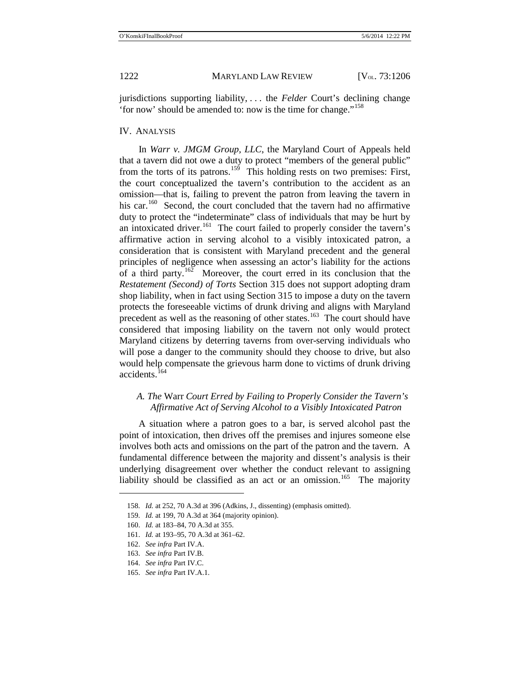jurisdictions supporting liability, . . . the *Felder* Court's declining change 'for now' should be amended to: now is the time for change."[158](#page-17-0)

#### IV. ANALYSIS

In *Warr v. JMGM Group, LLC*, the Maryland Court of Appeals held that a tavern did not owe a duty to protect "members of the general public" from the torts of its patrons.<sup>[159](#page-17-1)</sup> This holding rests on two premises: First, the court conceptualized the tavern's contribution to the accident as an omission—that is, failing to prevent the patron from leaving the tavern in his car.<sup>160</sup> Second, the court concluded that the tavern had no affirmative duty to protect the "indeterminate" class of individuals that may be hurt by an intoxicated driver.<sup>161</sup> The court failed to properly consider the tavern's affirmative action in serving alcohol to a visibly intoxicated patron, a consideration that is consistent with Maryland precedent and the general principles of negligence when assessing an actor's liability for the actions of a third party.<sup>162</sup> Moreover, the court erred in its conclusion that the *Restatement (Second) of Torts* Section 315 does not support adopting dram shop liability, when in fact using Section 315 to impose a duty on the tavern protects the foreseeable victims of drunk driving and aligns with Maryland precedent as well as the reasoning of other states.<sup>163</sup> The court should have considered that imposing liability on the tavern not only would protect Maryland citizens by deterring taverns from over-serving individuals who will pose a danger to the community should they choose to drive, but also would help compensate the grievous harm done to victims of drunk driving accidents.<sup>[164](#page-17-6)</sup>

### *A. The* Warr *Court Erred by Failing to Properly Consider the Tavern's Affirmative Act of Serving Alcohol to a Visibly Intoxicated Patron*

A situation where a patron goes to a bar, is served alcohol past the point of intoxication, then drives off the premises and injures someone else involves both acts and omissions on the part of the patron and the tavern. A fundamental difference between the majority and dissent's analysis is their underlying disagreement over whether the conduct relevant to assigning liability should be classified as an act or an omission.<sup>[165](#page-17-7)</sup> The majority

<span id="page-17-0"></span><sup>158.</sup> *Id.* at 252, 70 A.3d at 396 (Adkins, J., dissenting) (emphasis omitted).

<span id="page-17-1"></span><sup>159.</sup> *Id.* at 199, 70 A.3d at 364 (majority opinion).

<span id="page-17-2"></span><sup>160.</sup> *Id.* at 183–84, 70 A.3d at 355.

<span id="page-17-3"></span><sup>161.</sup> *Id.* at 193–95, 70 A.3d at 361–62.

<span id="page-17-5"></span><span id="page-17-4"></span><sup>162.</sup> *See infra* Part IV.A.

<sup>163.</sup> *See infra* Part IV.B.

<span id="page-17-6"></span><sup>164.</sup> *See infra* Part IV.C.

<span id="page-17-7"></span><sup>165.</sup> *See infra* Part IV.A.1.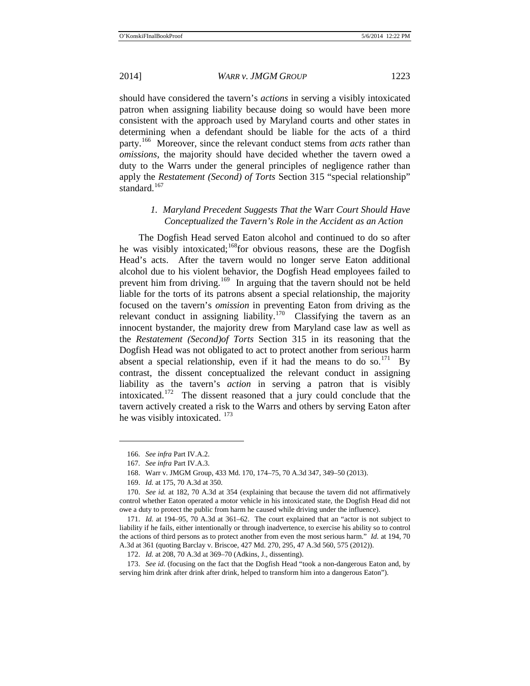should have considered the tavern's *actions* in serving a visibly intoxicated patron when assigning liability because doing so would have been more consistent with the approach used by Maryland courts and other states in determining when a defendant should be liable for the acts of a third party.[166](#page-18-0) Moreover, since the relevant conduct stems from *acts* rather than *omissions*, the majority should have decided whether the tavern owed a duty to the Warrs under the general principles of negligence rather than apply the *Restatement (Second) of Torts* Section 315 "special relationship" standard.<sup>[167](#page-18-1)</sup>

### *1. Maryland Precedent Suggests That the* Warr *Court Should Have Conceptualized the Tavern's Role in the Accident as an Action*

The Dogfish Head served Eaton alcohol and continued to do so after he was visibly intoxicated;<sup>[168](#page-18-2)</sup>for obvious reasons, these are the Dogfish Head's acts. After the tavern would no longer serve Eaton additional alcohol due to his violent behavior, the Dogfish Head employees failed to prevent him from driving.<sup>169</sup> In arguing that the tavern should not be held liable for the torts of its patrons absent a special relationship, the majority focused on the tavern's *omission* in preventing Eaton from driving as the relevant conduct in assigning liability.<sup>[170](#page-18-4)</sup> Classifying the tavern as an innocent bystander, the majority drew from Maryland case law as well as the *Restatement (Second)of Torts* Section 315 in its reasoning that the Dogfish Head was not obligated to act to protect another from serious harm absent a special relationship, even if it had the means to do so.<sup>171</sup> By contrast, the dissent conceptualized the relevant conduct in assigning liability as the tavern's *action* in serving a patron that is visibly intoxicated.<sup>172</sup> The dissent reasoned that a jury could conclude that the tavern actively created a risk to the Warrs and others by serving Eaton after he was visibly intoxicated. <sup>[173](#page-18-7)</sup>

<sup>166.</sup> *See infra* Part IV.A.2.

<sup>167.</sup> *See infra* Part IV.A.3.

<sup>168.</sup> Warr v. JMGM Group, 433 Md. 170, 174–75, 70 A.3d 347, 349–50 (2013).

<sup>169.</sup> *Id.* at 175, 70 A.3d at 350.

<span id="page-18-4"></span><span id="page-18-3"></span><span id="page-18-2"></span><span id="page-18-1"></span><span id="page-18-0"></span><sup>170.</sup> *See id.* at 182, 70 A.3d at 354 (explaining that because the tavern did not affirmatively control whether Eaton operated a motor vehicle in his intoxicated state, the Dogfish Head did not owe a duty to protect the public from harm he caused while driving under the influence).

<span id="page-18-5"></span><sup>171.</sup> *Id.* at 194–95, 70 A.3d at 361–62. The court explained that an "actor is not subject to liability if he fails, either intentionally or through inadvertence, to exercise his ability so to control the actions of third persons as to protect another from even the most serious harm." *Id.* at 194, 70 A.3d at 361 (quoting Barclay v. Briscoe, 427 Md. 270, 295, 47 A.3d 560, 575 (2012)).

<sup>172.</sup> *Id.* at 208, 70 A.3d at 369–70 (Adkins, J., dissenting).

<span id="page-18-7"></span><span id="page-18-6"></span><sup>173.</sup> *See id.* (focusing on the fact that the Dogfish Head "took a non-dangerous Eaton and, by serving him drink after drink after drink, helped to transform him into a dangerous Eaton").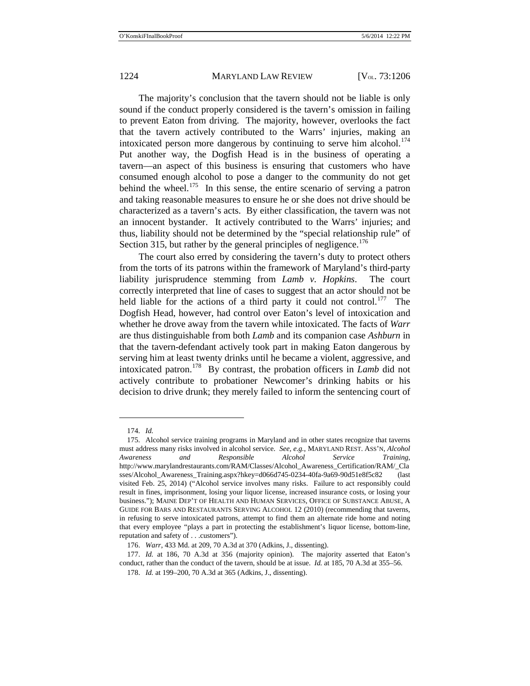The majority's conclusion that the tavern should not be liable is only sound if the conduct properly considered is the tavern's omission in failing to prevent Eaton from driving. The majority, however, overlooks the fact that the tavern actively contributed to the Warrs' injuries, making an intoxicated person more dangerous by continuing to serve him alcohol.<sup>[174](#page-19-0)</sup> Put another way, the Dogfish Head is in the business of operating a tavern—an aspect of this business is ensuring that customers who have consumed enough alcohol to pose a danger to the community do not get behind the wheel.<sup>[175](#page-19-1)</sup> In this sense, the entire scenario of serving a patron and taking reasonable measures to ensure he or she does not drive should be characterized as a tavern's acts. By either classification, the tavern was not an innocent bystander. It actively contributed to the Warrs' injuries; and thus, liability should not be determined by the "special relationship rule" of Section 315, but rather by the general principles of negligence.<sup>[176](#page-19-2)</sup>

The court also erred by considering the tavern's duty to protect others from the torts of its patrons within the framework of Maryland's third-party liability jurisprudence stemming from *Lamb v. Hopkins*. The court correctly interpreted that line of cases to suggest that an actor should not be held liable for the actions of a third party it could not control.<sup>177</sup> The Dogfish Head, however, had control over Eaton's level of intoxication and whether he drove away from the tavern while intoxicated. The facts of *Warr*  are thus distinguishable from both *Lamb* and its companion case *Ashburn* in that the tavern-defendant actively took part in making Eaton dangerous by serving him at least twenty drinks until he became a violent, aggressive, and intoxicated patron.[178](#page-19-4) By contrast, the probation officers in *Lamb* did not actively contribute to probationer Newcomer's drinking habits or his decision to drive drunk; they merely failed to inform the sentencing court of

<sup>174.</sup> *Id.*

<span id="page-19-1"></span><span id="page-19-0"></span><sup>175.</sup> Alcohol service training programs in Maryland and in other states recognize that taverns must address many risks involved in alcohol service. *See, e.g.*, MARYLAND REST. ASS'N, *Alcohol Awareness and Responsible Alcohol Service Training*, http://www.marylandrestaurants.com/RAM/Classes/Alcohol\_Awareness\_Certification/RAM/\_Cla sses/Alcohol\_Awareness\_Training.aspx?hkey=d066d745-0234-40fa-9a69-90d51e8f5c82 (last visited Feb. 25, 2014) ("Alcohol service involves many risks. Failure to act responsibly could result in fines, imprisonment, losing your liquor license, increased insurance costs, or losing your business."); MAINE DEP'T OF HEALTH AND HUMAN SERVICES, OFFICE OF SUBSTANCE ABUSE, A GUIDE FOR BARS AND RESTAURANTS SERVING ALCOHOL 12 (2010) (recommending that taverns, in refusing to serve intoxicated patrons, attempt to find them an alternate ride home and noting that every employee "plays a part in protecting the establishment's liquor license, bottom-line, reputation and safety of . . .customers").

<sup>176.</sup> *Warr*, 433 Md. at 209, 70 A.3d at 370 (Adkins, J., dissenting).

<span id="page-19-4"></span><span id="page-19-3"></span><span id="page-19-2"></span><sup>177.</sup> *Id.* at 186, 70 A.3d at 356 (majority opinion). The majority asserted that Eaton's conduct, rather than the conduct of the tavern, should be at issue. *Id.* at 185, 70 A.3d at 355–56.

<sup>178.</sup> *Id.* at 199–200, 70 A.3d at 365 (Adkins, J., dissenting).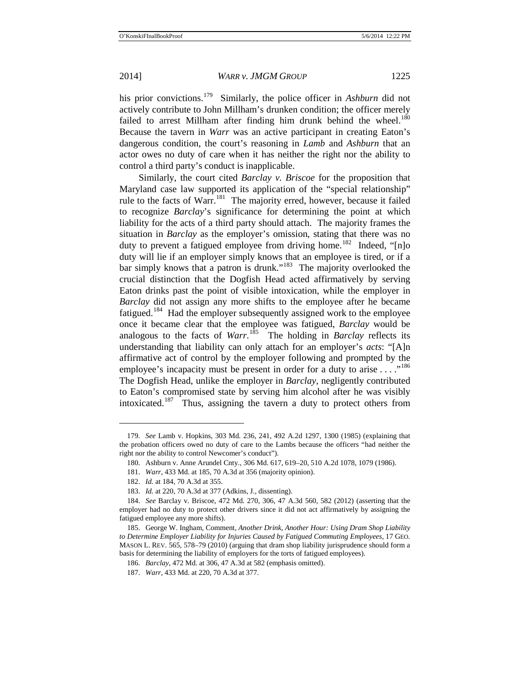his prior convictions.[179](#page-20-0) Similarly, the police officer in *Ashburn* did not actively contribute to John Millham's drunken condition; the officer merely failed to arrest Millham after finding him drunk behind the wheel. $180$ Because the tavern in *Warr* was an active participant in creating Eaton's dangerous condition, the court's reasoning in *Lamb* and *Ashburn* that an actor owes no duty of care when it has neither the right nor the ability to control a third party's conduct is inapplicable.

Similarly, the court cited *Barclay v. Briscoe* for the proposition that Maryland case law supported its application of the "special relationship" rule to the facts of Warr.<sup>[181](#page-20-2)</sup> The majority erred, however, because it failed to recognize *Barclay*'s significance for determining the point at which liability for the acts of a third party should attach. The majority frames the situation in *Barclay* as the employer's omission, stating that there was no duty to prevent a fatigued employee from driving home.<sup>[182](#page-20-3)</sup> Indeed, "[n]o duty will lie if an employer simply knows that an employee is tired, or if a bar simply knows that a patron is drunk."<sup>[183](#page-20-4)</sup> The majority overlooked the crucial distinction that the Dogfish Head acted affirmatively by serving Eaton drinks past the point of visible intoxication, while the employer in *Barclay* did not assign any more shifts to the employee after he became fatigued.<sup>184</sup> Had the employer subsequently assigned work to the employee once it became clear that the employee was fatigued, *Barclay* would be analogous to the facts of  $Warr$ <sup>185</sup>. The holding in *Barclay* reflects its understanding that liability can only attach for an employer's *acts*: "[A]n affirmative act of control by the employer following and prompted by the employee's incapacity must be present in order for a duty to arise  $\dots$ ."<sup>[186](#page-20-7)</sup> The Dogfish Head, unlike the employer in *Barclay*, negligently contributed to Eaton's compromised state by serving him alcohol after he was visibly intoxicated.<sup>187</sup> Thus, assigning the tavern a duty to protect others from

<span id="page-20-1"></span><span id="page-20-0"></span><sup>179.</sup> *See* Lamb v. Hopkins, 303 Md. 236, 241, 492 A.2d 1297, 1300 (1985) (explaining that the probation officers owed no duty of care to the Lambs because the officers "had neither the right nor the ability to control Newcomer's conduct").

<sup>180.</sup> Ashburn v. Anne Arundel Cnty., 306 Md. 617, 619–20, 510 A.2d 1078, 1079 (1986).

<sup>181.</sup> *Warr*, 433 Md. at 185, 70 A.3d at 356 (majority opinion).

<sup>182.</sup> *Id.* at 184, 70 A.3d at 355.

<sup>183.</sup> *Id.* at 220, 70 A.3d at 377 (Adkins, J., dissenting).

<span id="page-20-5"></span><span id="page-20-4"></span><span id="page-20-3"></span><span id="page-20-2"></span><sup>184.</sup> *See* Barclay v. Briscoe, 472 Md. 270, 306, 47 A.3d 560, 582 (2012) (asserting that the employer had no duty to protect other drivers since it did not act affirmatively by assigning the fatigued employee any more shifts).

<span id="page-20-8"></span><span id="page-20-7"></span><span id="page-20-6"></span><sup>185.</sup> George W. Ingham, Comment, *Another Drink, Another Hour: Using Dram Shop Liability to Determine Employer Liability for Injuries Caused by Fatigued Commuting Employees*, 17 GEO. MASON L. REV. 565, 578–79 (2010) (arguing that dram shop liability jurisprudence should form a basis for determining the liability of employers for the torts of fatigued employees).

<sup>186.</sup> *Barclay*, 472 Md. at 306, 47 A.3d at 582 (emphasis omitted).

<sup>187.</sup> *Warr*, 433 Md. at 220, 70 A.3d at 377.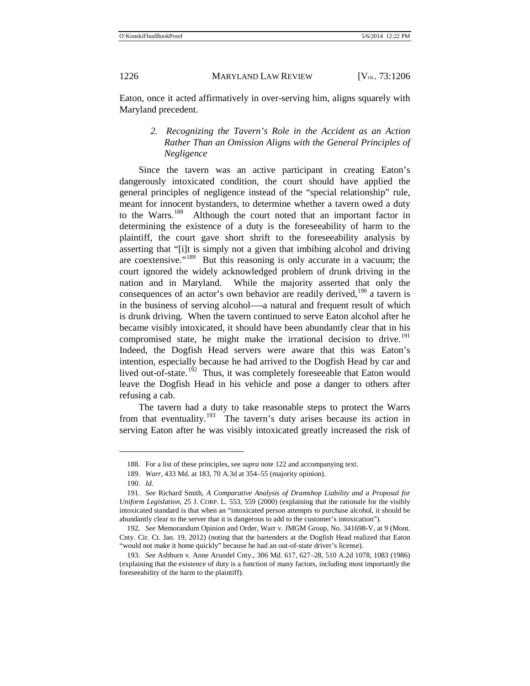Eaton, once it acted affirmatively in over-serving him, aligns squarely with Maryland precedent.

# *2. Recognizing the Tavern's Role in the Accident as an Action Rather Than an Omission Aligns with the General Principles of Negligence*

Since the tavern was an active participant in creating Eaton's dangerously intoxicated condition, the court should have applied the general principles of negligence instead of the "special relationship" rule, meant for innocent bystanders, to determine whether a tavern owed a duty to the Warrs.<sup>188</sup> Although the court noted that an important factor in determining the existence of a duty is the foreseeability of harm to the plaintiff, the court gave short shrift to the foreseeability analysis by asserting that "[i]t is simply not a given that imbibing alcohol and driving are coextensive."[189](#page-21-1) But this reasoning is only accurate in a vacuum; the court ignored the widely acknowledged problem of drunk driving in the nation and in Maryland. While the majority asserted that only the consequences of an actor's own behavior are readily derived,  $190$  a tavern is in the business of serving alcohol—-a natural and frequent result of which is drunk driving. When the tavern continued to serve Eaton alcohol after he became visibly intoxicated, it should have been abundantly clear that in his compromised state, he might make the irrational decision to drive.<sup>[191](#page-21-3)</sup> Indeed, the Dogfish Head servers were aware that this was Eaton's intention, especially because he had arrived to the Dogfish Head by car and lived out-of-state.<sup>192</sup> Thus, it was completely foreseeable that Eaton would leave the Dogfish Head in his vehicle and pose a danger to others after refusing a cab.

<span id="page-21-6"></span>The tavern had a duty to take reasonable steps to protect the Warrs from that eventuality.<sup>[193](#page-21-5)</sup> The tavern's duty arises because its action in serving Eaton after he was visibly intoxicated greatly increased the risk of

<sup>188.</sup> For a list of these principles, see *supra* not[e 122](#page-13-7) and accompanying text.

<sup>189.</sup> *Warr*, 433 Md. at 183, 70 A.3d at 354–55 (majority opinion).

<sup>190.</sup> *Id.*

<span id="page-21-3"></span><span id="page-21-2"></span><span id="page-21-1"></span><span id="page-21-0"></span><sup>191.</sup> *See* Richard Smith, *A Comparative Analysis of Dramshop Liability and a Proposal for Uniform Legislation*, 25 J. CORP. L. 553, 559 (2000) (explaining that the rationale for the visibly intoxicated standard is that when an "intoxicated person attempts to purchase alcohol, it should be abundantly clear to the server that it is dangerous to add to the customer's intoxication").

<span id="page-21-4"></span><sup>192.</sup> *See* Memorandum Opinion and Order, Warr v. JMGM Group, No. 341698-V, at 9 (Mont. Cnty. Cir. Ct. Jan. 19, 2012) (noting that the bartenders at the Dogfish Head realized that Eaton "would not make it home quickly" because he had an out-of-state driver's license).

<span id="page-21-5"></span><sup>193.</sup> *See* Ashburn v. Anne Arundel Cnty., 306 Md. 617, 627–28, 510 A.2d 1078, 1083 (1986) (explaining that the existence of duty is a function of many factors, including most importantly the foreseeability of the harm to the plaintiff).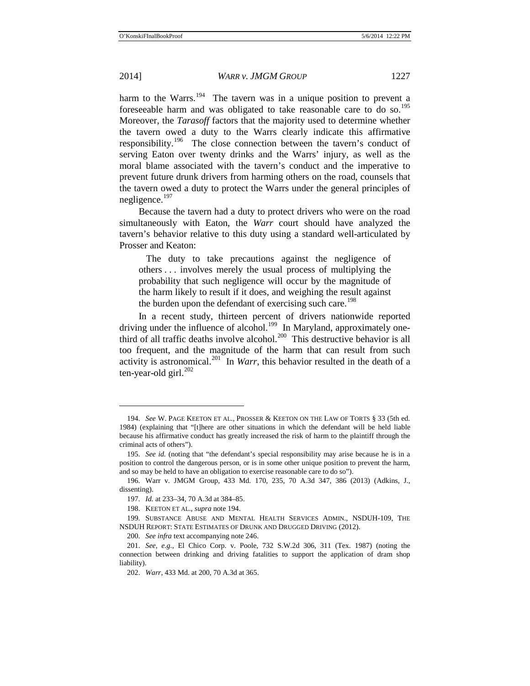$\overline{a}$ 

#### 2014] *WARR v. JMGM GROUP* 1227

<span id="page-22-0"></span>harm to the Warrs.<sup>194</sup> The tavern was in a unique position to prevent a foreseeable harm and was obligated to take reasonable care to do so.<sup>[195](#page-22-2)</sup> Moreover, the *Tarasoff* factors that the majority used to determine whether the tavern owed a duty to the Warrs clearly indicate this affirmative responsibility.<sup>196</sup> The close connection between the tavern's conduct of serving Eaton over twenty drinks and the Warrs' injury, as well as the moral blame associated with the tavern's conduct and the imperative to prevent future drunk drivers from harming others on the road, counsels that the tavern owed a duty to protect the Warrs under the general principles of negligence.<sup>[197](#page-22-4)</sup>

Because the tavern had a duty to protect drivers who were on the road simultaneously with Eaton, the *Warr* court should have analyzed the tavern's behavior relative to this duty using a standard well-articulated by Prosser and Keaton:

The duty to take precautions against the negligence of others . . . involves merely the usual process of multiplying the probability that such negligence will occur by the magnitude of the harm likely to result if it does, and weighing the result against the burden upon the defendant of exercising such care.<sup>[198](#page-22-5)</sup>

In a recent study, thirteen percent of drivers nationwide reported driving under the influence of alcohol.<sup>[199](#page-22-6)</sup> In Maryland, approximately one-third of all traffic deaths involve alcohol.<sup>[200](#page-22-7)</sup> This destructive behavior is all too frequent, and the magnitude of the harm that can result from such activity is astronomical.<sup>[201](#page-22-8)</sup> In *Warr*, this behavior resulted in the death of a ten-year-old girl. [202](#page-22-9)

<span id="page-22-1"></span><sup>194.</sup> *See* W. PAGE KEETON ET AL., PROSSER & KEETON ON THE LAW OF TORTS § 33 (5th ed. 1984) (explaining that "[t]here are other situations in which the defendant will be held liable because his affirmative conduct has greatly increased the risk of harm to the plaintiff through the criminal acts of others").

<span id="page-22-2"></span><sup>195.</sup> *See id.* (noting that "the defendant's special responsibility may arise because he is in a position to control the dangerous person, or is in some other unique position to prevent the harm, and so may be held to have an obligation to exercise reasonable care to do so").

<span id="page-22-4"></span><span id="page-22-3"></span><sup>196.</sup> Warr v. JMGM Group, 433 Md. 170, 235, 70 A.3d 347, 386 (2013) (Adkins, J., dissenting).

<sup>197.</sup> *Id.* at 233–34, 70 A.3d at 384–85.

<sup>198.</sup> KEETON ET AL., *supra* not[e 194.](#page-22-0)

<span id="page-22-6"></span><span id="page-22-5"></span><sup>199.</sup> SUBSTANCE ABUSE AND MENTAL HEALTH SERVICES ADMIN., NSDUH-109, THE NSDUH REPORT: STATE ESTIMATES OF DRUNK AND DRUGGED DRIVING (2012).

<sup>200.</sup> *See infra* text accompanying note [246.](#page-30-0)

<span id="page-22-9"></span><span id="page-22-8"></span><span id="page-22-7"></span><sup>201.</sup> *See, e.g.*, El Chico Corp. v. Poole, 732 S.W.2d 306, 311 (Tex. 1987) (noting the connection between drinking and driving fatalities to support the application of dram shop liability).

<sup>202.</sup> *Warr*, 433 Md. at 200, 70 A.3d at 365.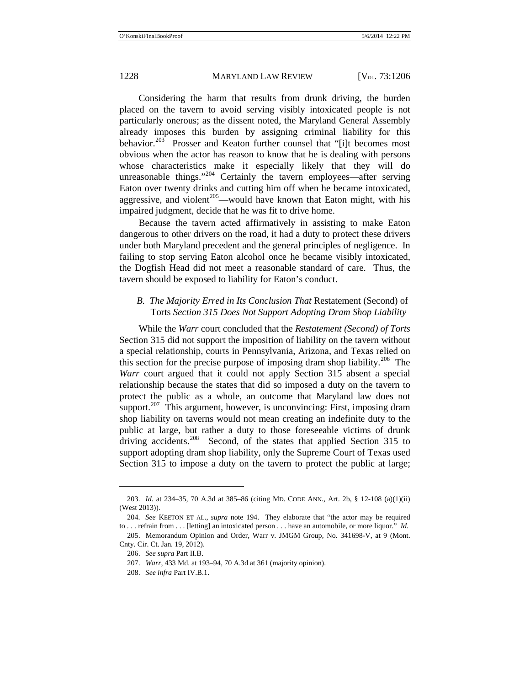Considering the harm that results from drunk driving, the burden placed on the tavern to avoid serving visibly intoxicated people is not particularly onerous; as the dissent noted, the Maryland General Assembly already imposes this burden by assigning criminal liability for this behavior.<sup>[203](#page-23-0)</sup> Prosser and Keaton further counsel that "[i]t becomes most obvious when the actor has reason to know that he is dealing with persons whose characteristics make it especially likely that they will do unreasonable things."<sup>[204](#page-23-1)</sup> Certainly the tavern employees—after serving Eaton over twenty drinks and cutting him off when he became intoxicated, aggressive, and violent<sup>205</sup>—would have known that Eaton might, with his impaired judgment, decide that he was fit to drive home.

Because the tavern acted affirmatively in assisting to make Eaton dangerous to other drivers on the road, it had a duty to protect these drivers under both Maryland precedent and the general principles of negligence. In failing to stop serving Eaton alcohol once he became visibly intoxicated, the Dogfish Head did not meet a reasonable standard of care. Thus, the tavern should be exposed to liability for Eaton's conduct.

# *B. The Majority Erred in Its Conclusion That* Restatement (Second) of Torts *Section 315 Does Not Support Adopting Dram Shop Liability*

While the *Warr* court concluded that the *Restatement (Second) of Torts*  Section 315 did not support the imposition of liability on the tavern without a special relationship, courts in Pennsylvania, Arizona, and Texas relied on this section for the precise purpose of imposing dram shop liability.<sup>[206](#page-23-3)</sup> The *Warr* court argued that it could not apply Section 315 absent a special relationship because the states that did so imposed a duty on the tavern to protect the public as a whole, an outcome that Maryland law does not support.<sup>207</sup> This argument, however, is unconvincing: First, imposing dram shop liability on taverns would not mean creating an indefinite duty to the public at large, but rather a duty to those foreseeable victims of drunk driving accidents.<sup>208</sup> Second, of the states that applied Section 315 to support adopting dram shop liability, only the Supreme Court of Texas used Section 315 to impose a duty on the tavern to protect the public at large;

<span id="page-23-0"></span><sup>203.</sup> *Id.* at 234–35, 70 A.3d at 385–86 (citing MD. CODE ANN., Art. 2b, § 12-108 (a)(1)(ii) (West 2013)).

<span id="page-23-1"></span><sup>204.</sup> *See* KEETON ET AL., *supra* note [194.](#page-22-0) They elaborate that "the actor may be required to . . . refrain from . . . [letting] an intoxicated person . . . have an automobile, or more liquor." *Id.*

<span id="page-23-5"></span><span id="page-23-4"></span><span id="page-23-3"></span><span id="page-23-2"></span><sup>205.</sup> Memorandum Opinion and Order, Warr v. JMGM Group, No. 341698-V, at 9 (Mont. Cnty. Cir. Ct. Jan. 19, 2012).

<sup>206.</sup> *See supra* Part II.B.

<sup>207.</sup> *Warr*, 433 Md. at 193–94, 70 A.3d at 361 (majority opinion).

<sup>208.</sup> *See infra* Part IV.B.1.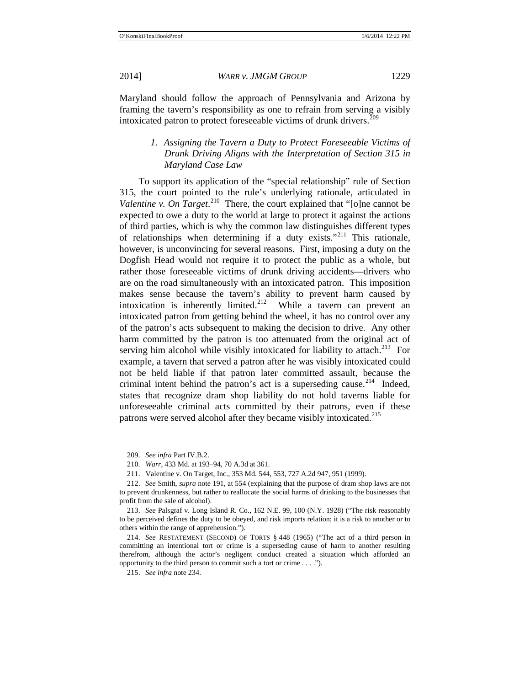Maryland should follow the approach of Pennsylvania and Arizona by framing the tavern's responsibility as one to refrain from serving a visibly intoxicated patron to protect foreseeable victims of drunk drivers. $^{209}$  $^{209}$  $^{209}$ 

# *1. Assigning the Tavern a Duty to Protect Foreseeable Victims of Drunk Driving Aligns with the Interpretation of Section 315 in Maryland Case Law*

To support its application of the "special relationship" rule of Section 315, the court pointed to the rule's underlying rationale, articulated in *Valentine v. On Target.*<sup>210</sup> There, the court explained that "[o]ne cannot be expected to owe a duty to the world at large to protect it against the actions of third parties, which is why the common law distinguishes different types of relationships when determining if a duty exists."<sup>[211](#page-24-2)</sup> This rationale, however, is unconvincing for several reasons. First, imposing a duty on the Dogfish Head would not require it to protect the public as a whole, but rather those foreseeable victims of drunk driving accidents—drivers who are on the road simultaneously with an intoxicated patron. This imposition makes sense because the tavern's ability to prevent harm caused by intoxication is inherently limited.<sup>212</sup> While a tavern can prevent an intoxicated patron from getting behind the wheel, it has no control over any of the patron's acts subsequent to making the decision to drive. Any other harm committed by the patron is too attenuated from the original act of serving him alcohol while visibly intoxicated for liability to attach.<sup>[213](#page-24-4)</sup> For example, a tavern that served a patron after he was visibly intoxicated could not be held liable if that patron later committed assault, because the criminal intent behind the patron's act is a superseding cause.<sup>214</sup> Indeed, states that recognize dram shop liability do not hold taverns liable for unforeseeable criminal acts committed by their patrons, even if these patrons were served alcohol after they became visibly intoxicated.<sup>[215](#page-24-6)</sup>

<sup>209.</sup> *See infra* Part IV.B.2.

<sup>210.</sup> *Warr*, 433 Md. at 193–94, 70 A.3d at 361.

<sup>211.</sup> Valentine v. On Target, Inc., 353 Md. 544, 553, 727 A.2d 947, 951 (1999).

<span id="page-24-3"></span><span id="page-24-2"></span><span id="page-24-1"></span><span id="page-24-0"></span><sup>212.</sup> *See* Smith, *supra* note [191,](#page-21-6) at 554 (explaining that the purpose of dram shop laws are not to prevent drunkenness, but rather to reallocate the social harms of drinking to the businesses that profit from the sale of alcohol).

<span id="page-24-4"></span><sup>213.</sup> *See* Palsgraf v. Long Island R. Co., 162 N.E. 99, 100 (N.Y. 1928) ("The risk reasonably to be perceived defines the duty to be obeyed, and risk imports relation; it is a risk to another or to others within the range of apprehension.").

<span id="page-24-6"></span><span id="page-24-5"></span><sup>214.</sup> *See* RESTATEMENT (SECOND) OF TORTS § 448 (1965) ("The act of a third person in committing an intentional tort or crime is a superseding cause of harm to another resulting therefrom, although the actor's negligent conduct created a situation which afforded an opportunity to the third person to commit such a tort or crime . . . .").

<sup>215.</sup> *See infra* not[e 234.](#page-28-0)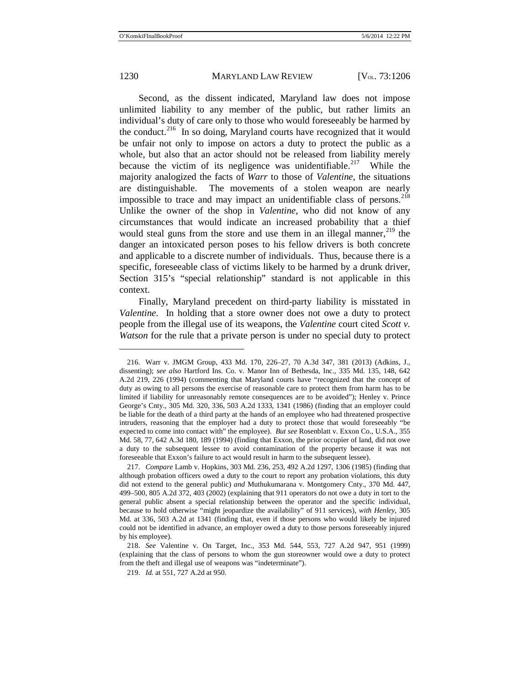$\overline{a}$ 

1230 MARYLAND LAW REVIEW [V<sub>OL.</sub> 73:1206]

Second, as the dissent indicated, Maryland law does not impose unlimited liability to any member of the public, but rather limits an individual's duty of care only to those who would foreseeably be harmed by the conduct.<sup>[216](#page-25-0)</sup> In so doing, Maryland courts have recognized that it would be unfair not only to impose on actors a duty to protect the public as a whole, but also that an actor should not be released from liability merely because the victim of its negligence was unidentifiable.<sup>217</sup> While the majority analogized the facts of *Warr* to those of *Valentine*, the situations are distinguishable. The movements of a stolen weapon are nearly impossible to trace and may impact an unidentifiable class of persons. $^{218}$  $^{218}$  $^{218}$ Unlike the owner of the shop in *Valentine*, who did not know of any circumstances that would indicate an increased probability that a thief would steal guns from the store and use them in an illegal manner,  $219$  the danger an intoxicated person poses to his fellow drivers is both concrete and applicable to a discrete number of individuals. Thus, because there is a specific, foreseeable class of victims likely to be harmed by a drunk driver, Section 315's "special relationship" standard is not applicable in this context.

Finally, Maryland precedent on third-party liability is misstated in *Valentine*. In holding that a store owner does not owe a duty to protect people from the illegal use of its weapons, the *Valentine* court cited *Scott v. Watson* for the rule that a private person is under no special duty to protect

<span id="page-25-0"></span><sup>216.</sup> Warr v. JMGM Group, 433 Md. 170, 226–27, 70 A.3d 347, 381 (2013) (Adkins, J., dissenting); *see also* Hartford Ins. Co. v. Manor Inn of Bethesda, Inc., 335 Md. 135, 148, 642 A.2d 219, 226 (1994) (commenting that Maryland courts have "recognized that the concept of duty as owing to all persons the exercise of reasonable care to protect them from harm has to be limited if liability for unreasonably remote consequences are to be avoided"); Henley v. Prince George's Cnty., 305 Md. 320, 336, 503 A.2d 1333, 1341 (1986) (finding that an employer could be liable for the death of a third party at the hands of an employee who had threatened prospective intruders, reasoning that the employer had a duty to protect those that would foreseeably "be expected to come into contact with" the employee). *But see* Rosenblatt v. Exxon Co., U.S.A., 355 Md. 58, 77, 642 A.3d 180, 189 (1994) (finding that Exxon, the prior occupier of land, did not owe a duty to the subsequent lessee to avoid contamination of the property because it was not foreseeable that Exxon's failure to act would result in harm to the subsequent lessee).

<span id="page-25-1"></span><sup>217.</sup> *Compare* Lamb v. Hopkins, 303 Md. 236, 253, 492 A.2d 1297, 1306 (1985) (finding that although probation officers owed a duty to the court to report any probation violations, this duty did not extend to the general public) *and* Muthukumarana v. Montgomery Cnty., 370 Md. 447, 499–500, 805 A.2d 372, 403 (2002) (explaining that 911 operators do not owe a duty in tort to the general public absent a special relationship between the operator and the specific individual, because to hold otherwise "might jeopardize the availability" of 911 services), *with Henley*, 305 Md. at 336, 503 A.2d at 1341 (finding that, even if those persons who would likely be injured could not be identified in advance, an employer owed a duty to those persons foreseeably injured by his employee).

<span id="page-25-3"></span><span id="page-25-2"></span><sup>218.</sup> *See* Valentine v. On Target, Inc., 353 Md. 544, 553, 727 A.2d 947, 951 (1999) (explaining that the class of persons to whom the gun storeowner would owe a duty to protect from the theft and illegal use of weapons was "indeterminate").

<sup>219.</sup> *Id.* at 551, 727 A.2d at 950.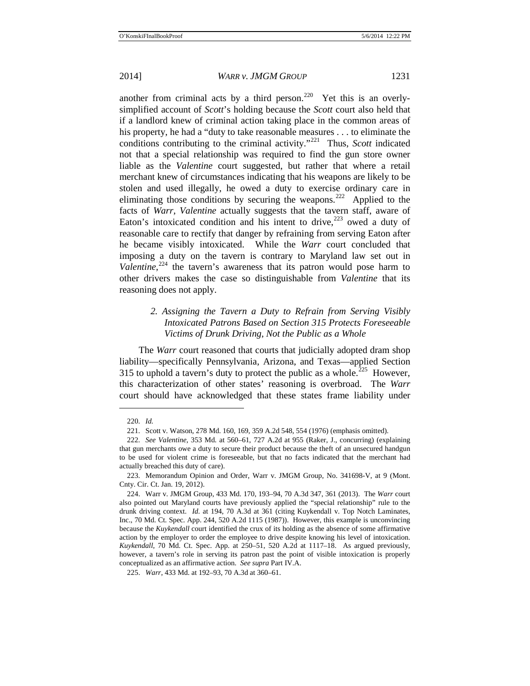another from criminal acts by a third person.<sup>220</sup> Yet this is an overlysimplified account of *Scott*'s holding because the *Scott* court also held that if a landlord knew of criminal action taking place in the common areas of his property, he had a "duty to take reasonable measures . . . to eliminate the conditions contributing to the criminal activity."[221](#page-26-1) Thus, *Scott* indicated not that a special relationship was required to find the gun store owner liable as the *Valentine* court suggested, but rather that where a retail merchant knew of circumstances indicating that his weapons are likely to be stolen and used illegally, he owed a duty to exercise ordinary care in eliminating those conditions by securing the weapons.<sup>[222](#page-26-2)</sup> Applied to the facts of *Warr*, *Valentine* actually suggests that the tavern staff, aware of Eaton's intoxicated condition and his intent to drive, $223$  owed a duty of reasonable care to rectify that danger by refraining from serving Eaton after he became visibly intoxicated. While the *Warr* court concluded that imposing a duty on the tavern is contrary to Maryland law set out in Valentine,<sup>[224](#page-26-4)</sup> the tavern's awareness that its patron would pose harm to other drivers makes the case so distinguishable from *Valentine* that its reasoning does not apply.

# *2. Assigning the Tavern a Duty to Refrain from Serving Visibly Intoxicated Patrons Based on Section 315 Protects Foreseeable Victims of Drunk Driving, Not the Public as a Whole*

The *Warr* court reasoned that courts that judicially adopted dram shop liability—specifically Pennsylvania, Arizona, and Texas—applied Section 315 to uphold a tavern's duty to protect the public as a whole.<sup>225</sup> However, this characterization of other states' reasoning is overbroad. The *Warr*  court should have acknowledged that these states frame liability under

<sup>220.</sup> *Id.*

<sup>221.</sup> Scott v. Watson, 278 Md. 160, 169, 359 A.2d 548, 554 (1976) (emphasis omitted).

<span id="page-26-2"></span><span id="page-26-1"></span><span id="page-26-0"></span><sup>222.</sup> *See Valentine*, 353 Md. at 560–61, 727 A.2d at 955 (Raker, J., concurring) (explaining that gun merchants owe a duty to secure their product because the theft of an unsecured handgun to be used for violent crime is foreseeable, but that no facts indicated that the merchant had actually breached this duty of care).

<span id="page-26-3"></span><sup>223.</sup> Memorandum Opinion and Order, Warr v. JMGM Group, No. 341698-V, at 9 (Mont. Cnty. Cir. Ct. Jan. 19, 2012).

<span id="page-26-4"></span><sup>224.</sup> Warr v. JMGM Group, 433 Md. 170, 193–94, 70 A.3d 347, 361 (2013). The *Warr* court also pointed out Maryland courts have previously applied the "special relationship" rule to the drunk driving context. *Id.* at 194, 70 A.3d at 361 (citing Kuykendall v. Top Notch Laminates, Inc., 70 Md. Ct. Spec. App. 244, 520 A.2d 1115 (1987)). However, this example is unconvincing because the *Kuykendall* court identified the crux of its holding as the absence of some affirmative action by the employer to order the employee to drive despite knowing his level of intoxication. *Kuykendall*, 70 Md. Ct. Spec. App. at 250–51, 520 A.2d at 1117–18. As argued previously, however, a tavern's role in serving its patron past the point of visible intoxication is properly conceptualized as an affirmative action. *See supra* Part IV.A.

<span id="page-26-5"></span><sup>225.</sup> *Warr*, 433 Md. at 192–93, 70 A.3d at 360–61.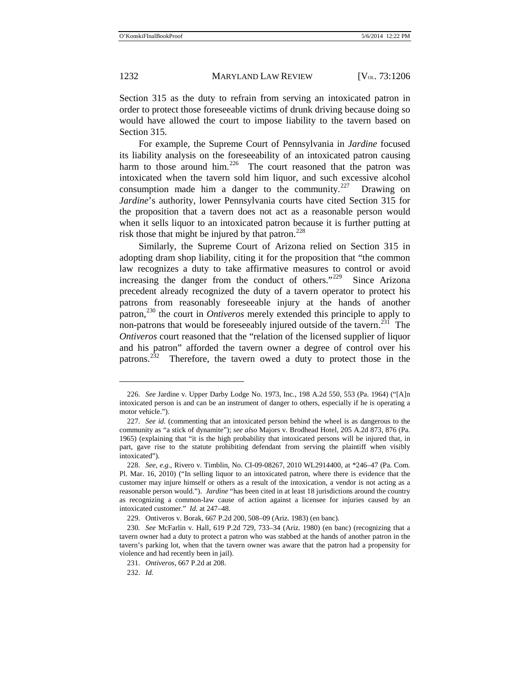Section 315 as the duty to refrain from serving an intoxicated patron in order to protect those foreseeable victims of drunk driving because doing so would have allowed the court to impose liability to the tavern based on Section 315.

For example, the Supreme Court of Pennsylvania in *Jardine* focused its liability analysis on the foreseeability of an intoxicated patron causing harm to those around him.<sup>226</sup> The court reasoned that the patron was intoxicated when the tavern sold him liquor, and such excessive alcohol consumption made him a danger to the community.<sup>[227](#page-27-1)</sup> Drawing on *Jardine*'s authority, lower Pennsylvania courts have cited Section 315 for the proposition that a tavern does not act as a reasonable person would when it sells liquor to an intoxicated patron because it is further putting at risk those that might be injured by that patron. $^{228}$  $^{228}$  $^{228}$ 

Similarly, the Supreme Court of Arizona relied on Section 315 in adopting dram shop liability, citing it for the proposition that "the common law recognizes a duty to take affirmative measures to control or avoid increasing the danger from the conduct of others."<sup>[229](#page-27-3)</sup> Since Arizona precedent already recognized the duty of a tavern operator to protect his patrons from reasonably foreseeable injury at the hands of another patron,[230](#page-27-4) the court in *Ontiveros* merely extended this principle to apply to non-patrons that would be foreseeably injured outside of the tavern.<sup>231</sup> The *Ontiveros* court reasoned that the "relation of the licensed supplier of liquor and his patron" afforded the tavern owner a degree of control over his patrons.<sup>[232](#page-27-6)</sup> Therefore, the tavern owed a duty to protect those in the

232. *Id.*

<span id="page-27-0"></span><sup>226.</sup> *See* Jardine v. Upper Darby Lodge No. 1973, Inc., 198 A.2d 550, 553 (Pa. 1964) ("[A]n intoxicated person is and can be an instrument of danger to others, especially if he is operating a motor vehicle.").

<span id="page-27-1"></span><sup>227.</sup> *See id.* (commenting that an intoxicated person behind the wheel is as dangerous to the community as "a stick of dynamite"); *see also* Majors v. Brodhead Hotel, 205 A.2d 873, 876 (Pa. 1965) (explaining that "it is the high probability that intoxicated persons will be injured that, in part, gave rise to the statute prohibiting defendant from serving the plaintiff when visibly intoxicated").

<span id="page-27-2"></span><sup>228.</sup> *See, e.g.*, Rivero v. Timblin, No. CI-09-08267, 2010 WL2914400, at \*246–47 (Pa. Com. Pl. Mar. 16, 2010) ("In selling liquor to an intoxicated patron, where there is evidence that the customer may injure himself or others as a result of the intoxication, a vendor is not acting as a reasonable person would."). *Jardine* "has been cited in at least 18 jurisdictions around the country as recognizing a common-law cause of action against a licensee for injuries caused by an intoxicated customer." *Id.* at 247–48.

<sup>229.</sup> Ontiveros v. Borak, 667 P.2d 200, 508–09 (Ariz. 1983) (en banc).

<span id="page-27-6"></span><span id="page-27-5"></span><span id="page-27-4"></span><span id="page-27-3"></span><sup>230</sup>*. See* McFarlin v. Hall, 619 P.2d 729, 733–34 (Ariz. 1980) (en banc) (recognizing that a tavern owner had a duty to protect a patron who was stabbed at the hands of another patron in the tavern's parking lot, when that the tavern owner was aware that the patron had a propensity for violence and had recently been in jail).

<sup>231.</sup> *Ontiveros*, 667 P.2d at 208.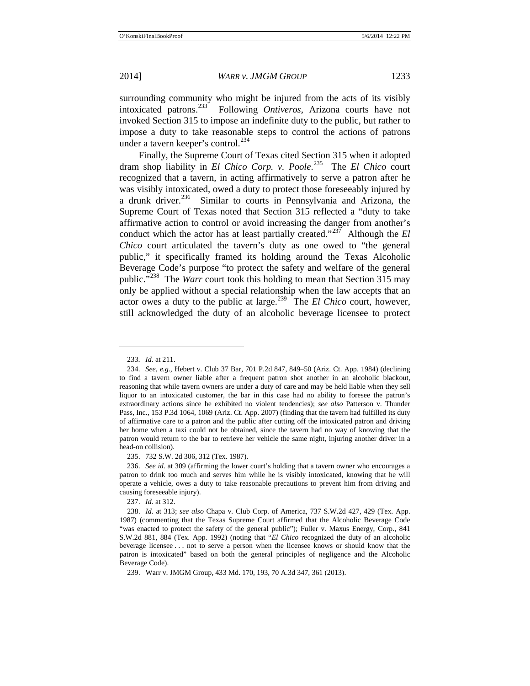surrounding community who might be injured from the acts of its visibly intoxicated patrons.[233](#page-28-1) Following *Ontiveros*, Arizona courts have not invoked Section 315 to impose an indefinite duty to the public, but rather to impose a duty to take reasonable steps to control the actions of patrons under a tavern keeper's control.<sup>[234](#page-28-2)</sup>

<span id="page-28-0"></span>Finally, the Supreme Court of Texas cited Section 315 when it adopted dram shop liability in *El Chico Corp. v. Poole*. [235](#page-28-3)The *El Chico* court recognized that a tavern, in acting affirmatively to serve a patron after he was visibly intoxicated, owed a duty to protect those foreseeably injured by a drunk driver.<sup>236</sup> Similar to courts in Pennsylvania and Arizona, the Supreme Court of Texas noted that Section 315 reflected a "duty to take affirmative action to control or avoid increasing the danger from another's conduct which the actor has at least partially created."[237](#page-28-5) Although the *El Chico* court articulated the tavern's duty as one owed to "the general public," it specifically framed its holding around the Texas Alcoholic Beverage Code's purpose "to protect the safety and welfare of the general public."[238](#page-28-6) The *Warr* court took this holding to mean that Section 315 may only be applied without a special relationship when the law accepts that an actor owes a duty to the public at large.<sup>[239](#page-28-7)</sup> The *El Chico* court, however, still acknowledged the duty of an alcoholic beverage licensee to protect

<sup>233.</sup> *Id.* at 211.

<span id="page-28-2"></span><span id="page-28-1"></span><sup>234.</sup> *See, e.g.*, Hebert v. Club 37 Bar, 701 P.2d 847, 849–50 (Ariz. Ct. App. 1984) (declining to find a tavern owner liable after a frequent patron shot another in an alcoholic blackout, reasoning that while tavern owners are under a duty of care and may be held liable when they sell liquor to an intoxicated customer, the bar in this case had no ability to foresee the patron's extraordinary actions since he exhibited no violent tendencies); *see also* Patterson v. Thunder Pass, Inc., 153 P.3d 1064, 1069 (Ariz. Ct. App. 2007) (finding that the tavern had fulfilled its duty of affirmative care to a patron and the public after cutting off the intoxicated patron and driving her home when a taxi could not be obtained, since the tavern had no way of knowing that the patron would return to the bar to retrieve her vehicle the same night, injuring another driver in a head-on collision).

<sup>235.</sup> 732 S.W. 2d 306, 312 (Tex. 1987).

<span id="page-28-4"></span><span id="page-28-3"></span><sup>236.</sup> *See id.* at 309 (affirming the lower court's holding that a tavern owner who encourages a patron to drink too much and serves him while he is visibly intoxicated, knowing that he will operate a vehicle, owes a duty to take reasonable precautions to prevent him from driving and causing foreseeable injury).

<sup>237.</sup> *Id.* at 312.

<span id="page-28-6"></span><span id="page-28-5"></span><sup>238.</sup> *Id.* at 313; *see also* Chapa v. Club Corp. of America, 737 S.W.2d 427, 429 (Tex. App. 1987) (commenting that the Texas Supreme Court affirmed that the Alcoholic Beverage Code "was enacted to protect the safety of the general public"); Fuller v. Maxus Energy, Corp., 841 S.W.2d 881, 884 (Tex. App. 1992) (noting that "*El Chico* recognized the duty of an alcoholic beverage licensee . . . not to serve a person when the licensee knows or should know that the patron is intoxicated" based on both the general principles of negligence and the Alcoholic Beverage Code).

<span id="page-28-7"></span><sup>239.</sup> Warr v. JMGM Group, 433 Md. 170, 193, 70 A.3d 347, 361 (2013).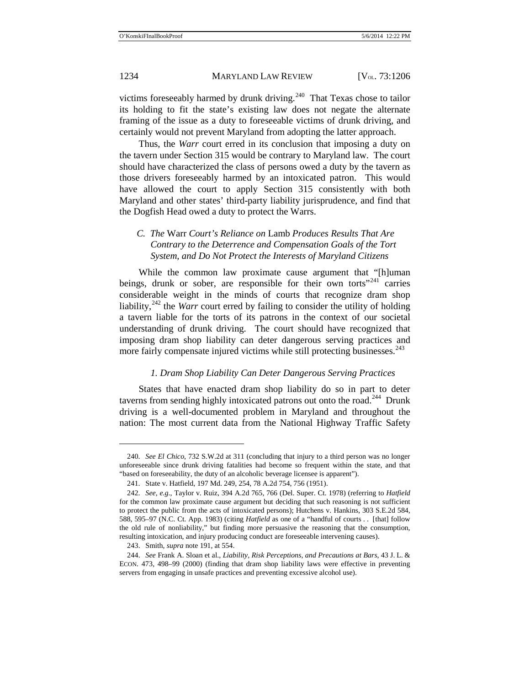victims foreseeably harmed by drunk driving. $240$  That Texas chose to tailor its holding to fit the state's existing law does not negate the alternate framing of the issue as a duty to foreseeable victims of drunk driving, and certainly would not prevent Maryland from adopting the latter approach.

Thus, the *Warr* court erred in its conclusion that imposing a duty on the tavern under Section 315 would be contrary to Maryland law. The court should have characterized the class of persons owed a duty by the tavern as those drivers foreseeably harmed by an intoxicated patron. This would have allowed the court to apply Section 315 consistently with both Maryland and other states' third-party liability jurisprudence, and find that the Dogfish Head owed a duty to protect the Warrs.

# *C. The* Warr *Court's Reliance on* Lamb *Produces Results That Are Contrary to the Deterrence and Compensation Goals of the Tort System, and Do Not Protect the Interests of Maryland Citizens*

While the common law proximate cause argument that "[h]uman beings, drunk or sober, are responsible for their own torts<sup> $241$ </sup> carries considerable weight in the minds of courts that recognize dram shop liability,[242](#page-29-2) the *Warr* court erred by failing to consider the utility of holding a tavern liable for the torts of its patrons in the context of our societal understanding of drunk driving. The court should have recognized that imposing dram shop liability can deter dangerous serving practices and more fairly compensate injured victims while still protecting businesses.<sup>[243](#page-29-3)</sup>

#### <span id="page-29-5"></span>*1. Dram Shop Liability Can Deter Dangerous Serving Practices*

States that have enacted dram shop liability do so in part to deter taverns from sending highly intoxicated patrons out onto the road.<sup>[244](#page-29-4)</sup> Drunk driving is a well-documented problem in Maryland and throughout the nation: The most current data from the National Highway Traffic Safety

<span id="page-29-0"></span><sup>240.</sup> *See El Chico*, 732 S.W.2d at 311 (concluding that injury to a third person was no longer unforeseeable since drunk driving fatalities had become so frequent within the state, and that "based on foreseeability, the duty of an alcoholic beverage licensee is apparent").

<sup>241.</sup> State v. Hatfield, 197 Md. 249, 254, 78 A.2d 754, 756 (1951).

<span id="page-29-2"></span><span id="page-29-1"></span><sup>242.</sup> *See, e.g.*, Taylor v. Ruiz, 394 A.2d 765, 766 (Del. Super. Ct. 1978) (referring to *Hatfield* for the common law proximate cause argument but deciding that such reasoning is not sufficient to protect the public from the acts of intoxicated persons); Hutchens v. Hankins, 303 S.E.2d 584, 588, 595–97 (N.C. Ct. App. 1983) (citing *Hatfield* as one of a "handful of courts . . [that] follow the old rule of nonliability," but finding more persuasive the reasoning that the consumption, resulting intoxication, and injury producing conduct are foreseeable intervening causes).

<sup>243.</sup> Smith, *supra* note [191,](#page-21-6) at 554.

<span id="page-29-4"></span><span id="page-29-3"></span><sup>244.</sup> *See* Frank A. Sloan et al., *Liability, Risk Perceptions, and Precautions at Bars*, 43 J. L. & ECON. 473, 498–99 (2000) (finding that dram shop liability laws were effective in preventing servers from engaging in unsafe practices and preventing excessive alcohol use).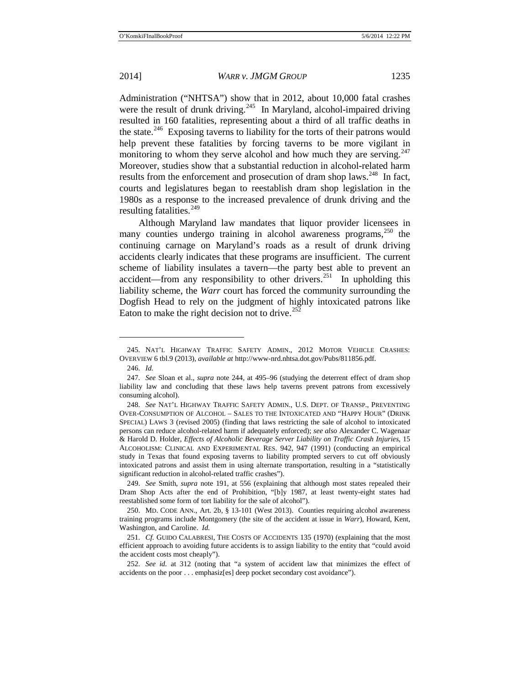<span id="page-30-0"></span>Administration ("NHTSA") show that in 2012, about 10,000 fatal crashes were the result of drunk driving.<sup>245</sup> In Maryland, alcohol-impaired driving resulted in 160 fatalities, representing about a third of all traffic deaths in the state.<sup>[246](#page-30-2)</sup> Exposing taverns to liability for the torts of their patrons would help prevent these fatalities by forcing taverns to be more vigilant in monitoring to whom they serve alcohol and how much they are serving. $247$ Moreover, studies show that a substantial reduction in alcohol-related harm results from the enforcement and prosecution of dram shop laws.<sup>248</sup> In fact, courts and legislatures began to reestablish dram shop legislation in the 1980s as a response to the increased prevalence of drunk driving and the resulting fatalities. $249$ 

Although Maryland law mandates that liquor provider licensees in many counties undergo training in alcohol awareness programs,<sup>[250](#page-30-6)</sup> the continuing carnage on Maryland's roads as a result of drunk driving accidents clearly indicates that these programs are insufficient. The current scheme of liability insulates a tavern—the party best able to prevent an accident—from any responsibility to other drivers.<sup>251</sup> In upholding this liability scheme, the *Warr* court has forced the community surrounding the Dogfish Head to rely on the judgment of highly intoxicated patrons like Eaton to make the right decision not to drive.<sup>[252](#page-30-8)</sup>

<span id="page-30-1"></span><sup>245.</sup> NAT'L HIGHWAY TRAFFIC SAFETY ADMIN., 2012 MOTOR VEHICLE CRASHES: OVERVIEW 6 tbl.9 (2013), *available at* http://www-nrd.nhtsa.dot.gov/Pubs/811856.pdf.

<sup>246.</sup> *Id.*

<span id="page-30-3"></span><span id="page-30-2"></span><sup>247.</sup> *See* Sloan et al., *supra* note [244,](#page-29-5) at 495–96 (studying the deterrent effect of dram shop liability law and concluding that these laws help taverns prevent patrons from excessively consuming alcohol).

<span id="page-30-4"></span><sup>248.</sup> *See* NAT'L HIGHWAY TRAFFIC SAFETY ADMIN., U.S. DEPT. OF TRANSP., PREVENTING OVER-CONSUMPTION OF ALCOHOL – SALES TO THE INTOXICATED AND "HAPPY HOUR" (DRINK SPECIAL) LAWS 3 (revised 2005) (finding that laws restricting the sale of alcohol to intoxicated persons can reduce alcohol-related harm if adequately enforced); *see also* Alexander C. Wagenaar & Harold D. Holder, *Effects of Alcoholic Beverage Server Liability on Traffic Crash Injuries*, 15 ALCOHOLISM: CLINICAL AND EXPERIMENTAL RES. 942, 947 (1991) (conducting an empirical study in Texas that found exposing taverns to liability prompted servers to cut off obviously intoxicated patrons and assist them in using alternate transportation, resulting in a "statistically significant reduction in alcohol-related traffic crashes").

<span id="page-30-5"></span><sup>249.</sup> *See* Smith, *supra* note [191,](#page-21-6) at 556 (explaining that although most states repealed their Dram Shop Acts after the end of Prohibition, "[b]y 1987, at least twenty-eight states had reestablished some form of tort liability for the sale of alcohol").

<span id="page-30-6"></span><sup>250.</sup> MD. CODE ANN., Art. 2b, § 13-101 (West 2013). Counties requiring alcohol awareness training programs include Montgomery (the site of the accident at issue in *Warr*), Howard, Kent, Washington, and Caroline. *Id.*

<span id="page-30-7"></span><sup>251.</sup> *Cf.* GUIDO CALABRESI, THE COSTS OF ACCIDENTS 135 (1970) (explaining that the most efficient approach to avoiding future accidents is to assign liability to the entity that "could avoid the accident costs most cheaply").

<span id="page-30-8"></span><sup>252.</sup> *See id.* at 312 (noting that "a system of accident law that minimizes the effect of accidents on the poor . . . emphasiz[es] deep pocket secondary cost avoidance").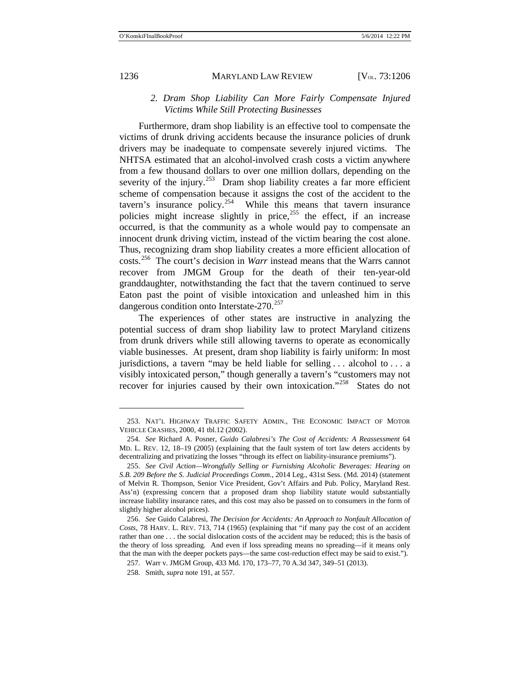$\overline{a}$ 

#### 1236 MARYLAND LAW REVIEW [V<sub>OL.</sub> 73:1206]

### *2. Dram Shop Liability Can More Fairly Compensate Injured Victims While Still Protecting Businesses*

Furthermore, dram shop liability is an effective tool to compensate the victims of drunk driving accidents because the insurance policies of drunk drivers may be inadequate to compensate severely injured victims. The NHTSA estimated that an alcohol-involved crash costs a victim anywhere from a few thousand dollars to over one million dollars, depending on the severity of the injury.<sup>[253](#page-31-0)</sup> Dram shop liability creates a far more efficient scheme of compensation because it assigns the cost of the accident to the tavern's insurance policy.<sup>[254](#page-31-1)</sup> While this means that tavern insurance policies might increase slightly in price,<sup>[255](#page-31-2)</sup> the effect, if an increase occurred, is that the community as a whole would pay to compensate an innocent drunk driving victim, instead of the victim bearing the cost alone. Thus, recognizing dram shop liability creates a more efficient allocation of costs.[256](#page-31-3) The court's decision in *Warr* instead means that the Warrs cannot recover from JMGM Group for the death of their ten-year-old granddaughter, notwithstanding the fact that the tavern continued to serve Eaton past the point of visible intoxication and unleashed him in this dangerous condition onto Interstate-270.<sup>[257](#page-31-4)</sup>

The experiences of other states are instructive in analyzing the potential success of dram shop liability law to protect Maryland citizens from drunk drivers while still allowing taverns to operate as economically viable businesses. At present, dram shop liability is fairly uniform: In most jurisdictions, a tavern "may be held liable for selling . . . alcohol to . . . a visibly intoxicated person," though generally a tavern's "customers may not recover for injuries caused by their own intoxication."<sup>258</sup> States do not

<span id="page-31-0"></span><sup>253.</sup> NAT'L HIGHWAY TRAFFIC SAFETY ADMIN., THE ECONOMIC IMPACT OF MOTOR VEHICLE CRASHES, 2000, 41 tbl.12 (2002).

<span id="page-31-1"></span><sup>254.</sup> *See* Richard A. Posner, *Guido Calabresi's The Cost of Accidents: A Reassessment* 64 MD. L. REV. 12, 18–19 (2005) (explaining that the fault system of tort law deters accidents by decentralizing and privatizing the losses "through its effect on liability-insurance premiums").

<span id="page-31-2"></span><sup>255.</sup> *See Civil Action—Wrongfully Selling or Furnishing Alcoholic Beverages: Hearing on S.B. 209 Before the S. Judicial Proceedings Comm.*, 2014 Leg., 431st Sess. (Md. 2014) (statement of Melvin R. Thompson, Senior Vice President, Gov't Affairs and Pub. Policy, Maryland Rest. Ass'n) (expressing concern that a proposed dram shop liability statute would substantially increase liability insurance rates, and this cost may also be passed on to consumers in the form of slightly higher alcohol prices).

<span id="page-31-4"></span><span id="page-31-3"></span><sup>256.</sup> *See* Guido Calabresi, *The Decision for Accidents: An Approach to Nonfault Allocation of Costs*, 78 HARV. L. REV. 713, 714 (1965) (explaining that "if many pay the cost of an accident rather than one . . . the social dislocation costs of the accident may be reduced; this is the basis of the theory of loss spreading. And even if loss spreading means no spreading—if it means only that the man with the deeper pockets pays—the same cost-reduction effect may be said to exist.").

<sup>257.</sup> Warr v. JMGM Group, 433 Md. 170, 173–77, 70 A.3d 347, 349–51 (2013).

<span id="page-31-5"></span><sup>258.</sup> Smith, *supra* note [191,](#page-21-6) at 557.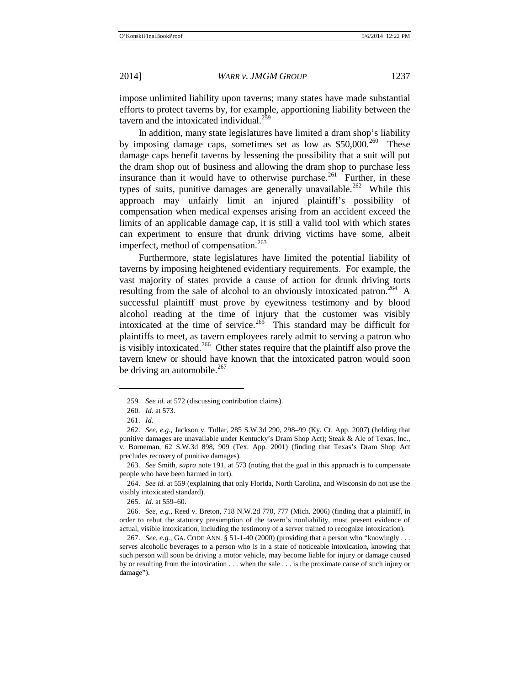impose unlimited liability upon taverns; many states have made substantial efforts to protect taverns by, for example, apportioning liability between the tavern and the intoxicated individual. $^{259}$  $^{259}$  $^{259}$ 

In addition, many state legislatures have limited a dram shop's liability by imposing damage caps, sometimes set as low as  $$50,000.^{260}$  $$50,000.^{260}$  $$50,000.^{260}$  These damage caps benefit taverns by lessening the possibility that a suit will put the dram shop out of business and allowing the dram shop to purchase less insurance than it would have to otherwise purchase.<sup>261</sup> Further, in these types of suits, punitive damages are generally unavailable.<sup>262</sup> While this approach may unfairly limit an injured plaintiff's possibility of compensation when medical expenses arising from an accident exceed the limits of an applicable damage cap, it is still a valid tool with which states can experiment to ensure that drunk driving victims have some, albeit imperfect, method of compensation.<sup>[263](#page-32-4)</sup>

Furthermore, state legislatures have limited the potential liability of taverns by imposing heightened evidentiary requirements. For example, the vast majority of states provide a cause of action for drunk driving torts resulting from the sale of alcohol to an obviously intoxicated patron.<sup>264</sup> A successful plaintiff must prove by eyewitness testimony and by blood alcohol reading at the time of injury that the customer was visibly intoxicated at the time of service.<sup>265</sup> This standard may be difficult for plaintiffs to meet, as tavern employees rarely admit to serving a patron who is visibly intoxicated.<sup>[266](#page-32-7)</sup> Other states require that the plaintiff also prove the tavern knew or should have known that the intoxicated patron would soon be driving an automobile. $267$ 

<sup>259.</sup> *See id.* at 572 (discussing contribution claims).

<sup>260.</sup> *Id.* at 573.

<sup>261.</sup> *Id.*

<span id="page-32-3"></span><span id="page-32-2"></span><span id="page-32-1"></span><span id="page-32-0"></span><sup>262.</sup> *See, e.g.*, Jackson v. Tullar, 285 S.W.3d 290, 298–99 (Ky. Ct. App. 2007) (holding that punitive damages are unavailable under Kentucky's Dram Shop Act); Steak & Ale of Texas, Inc., v. Borneman, 62 S.W.3d 898, 909 (Tex. App. 2001) (finding that Texas's Dram Shop Act precludes recovery of punitive damages).

<span id="page-32-4"></span><sup>263.</sup> *See* Smith, *supra* note [191,](#page-21-6) at 573 (noting that the goal in this approach is to compensate people who have been harmed in tort).

<span id="page-32-5"></span><sup>264.</sup> *See id.* at 559 (explaining that only Florida, North Carolina, and Wisconsin do not use the visibly intoxicated standard).

<sup>265.</sup> *Id.* at 559–60.

<span id="page-32-7"></span><span id="page-32-6"></span><sup>266.</sup> *See, e.g.*, Reed v. Breton, 718 N.W.2d 770, 777 (Mich. 2006) (finding that a plaintiff, in order to rebut the statutory presumption of the tavern's nonliability, must present evidence of actual, visible intoxication, including the testimony of a server trained to recognize intoxication).

<span id="page-32-8"></span><sup>267.</sup> *See, e.g.*, GA. CODE ANN. § 51-1-40 (2000) (providing that a person who "knowingly . . . serves alcoholic beverages to a person who is in a state of noticeable intoxication, knowing that such person will soon be driving a motor vehicle, may become liable for injury or damage caused by or resulting from the intoxication . . . when the sale . . . is the proximate cause of such injury or damage").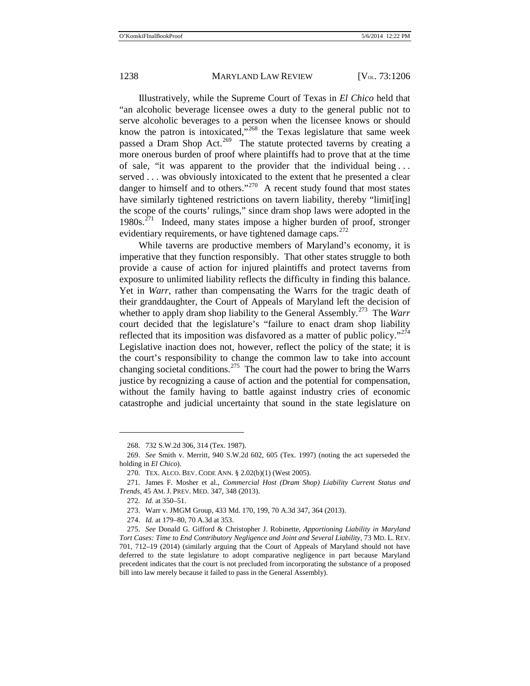Illustratively, while the Supreme Court of Texas in *El Chico* held that "an alcoholic beverage licensee owes a duty to the general public not to serve alcoholic beverages to a person when the licensee knows or should know the patron is intoxicated,<sup>"[268](#page-33-0)</sup> the Texas legislature that same week passed a Dram Shop Act.<sup>269</sup> The statute protected taverns by creating a more onerous burden of proof where plaintiffs had to prove that at the time of sale, "it was apparent to the provider that the individual being . . . served . . . was obviously intoxicated to the extent that he presented a clear danger to himself and to others."<sup>270</sup> A recent study found that most states have similarly tightened restrictions on tavern liability, thereby "limit[ing] the scope of the courts' rulings," since dram shop laws were adopted in the  $1980s$ <sup>271</sup> Indeed, many states impose a higher burden of proof, stronger evidentiary requirements, or have tightened damage caps.<sup>[272](#page-33-4)</sup>

While taverns are productive members of Maryland's economy, it is imperative that they function responsibly. That other states struggle to both provide a cause of action for injured plaintiffs and protect taverns from exposure to unlimited liability reflects the difficulty in finding this balance. Yet in *Warr*, rather than compensating the Warrs for the tragic death of their granddaughter, the Court of Appeals of Maryland left the decision of whether to apply dram shop liability to the General Assembly.<sup>273</sup> The *Warr* court decided that the legislature's "failure to enact dram shop liability reflected that its imposition was disfavored as a matter of public policy."<sup> $274$ </sup> Legislative inaction does not, however, reflect the policy of the state; it is the court's responsibility to change the common law to take into account changing societal conditions.<sup>[275](#page-33-7)</sup> The court had the power to bring the Warrs justice by recognizing a cause of action and the potential for compensation, without the family having to battle against industry cries of economic catastrophe and judicial uncertainty that sound in the state legislature on

<sup>268.</sup> 732 S.W.2d 306, 314 (Tex. 1987).

<span id="page-33-1"></span><span id="page-33-0"></span><sup>269.</sup> *See* Smith v. Merritt, 940 S.W.2d 602, 605 (Tex. 1997) (noting the act superseded the holding in *El Chico*).

<sup>270.</sup> TEX. ALCO. BEV. CODE ANN. § 2.02(b)(1) (West 2005).

<span id="page-33-4"></span><span id="page-33-3"></span><span id="page-33-2"></span><sup>271.</sup> James F. Mosher et al., *Commercial Host (Dram Shop) Liability Current Status and Trends*, 45 AM. J. PREV. MED. 347, 348 (2013).

<sup>272.</sup> *Id.* at 350–51.

<sup>273.</sup> Warr v. JMGM Group, 433 Md. 170, 199, 70 A.3d 347, 364 (2013).

<sup>274.</sup> *Id.* at 179–80, 70 A.3d at 353.

<span id="page-33-7"></span><span id="page-33-6"></span><span id="page-33-5"></span><sup>275.</sup> *See* Donald G. Gifford & Christopher J. Robinette, *Apportioning Liability in Maryland Tort Cases: Time to End Contributory Negligence and Joint and Several Liability,* 73 MD. L. REV. 701, 712–19 (2014) (similarly arguing that the Court of Appeals of Maryland should not have deferred to the state legislature to adopt comparative negligence in part because Maryland precedent indicates that the court is not precluded from incorporating the substance of a proposed bill into law merely because it failed to pass in the General Assembly).